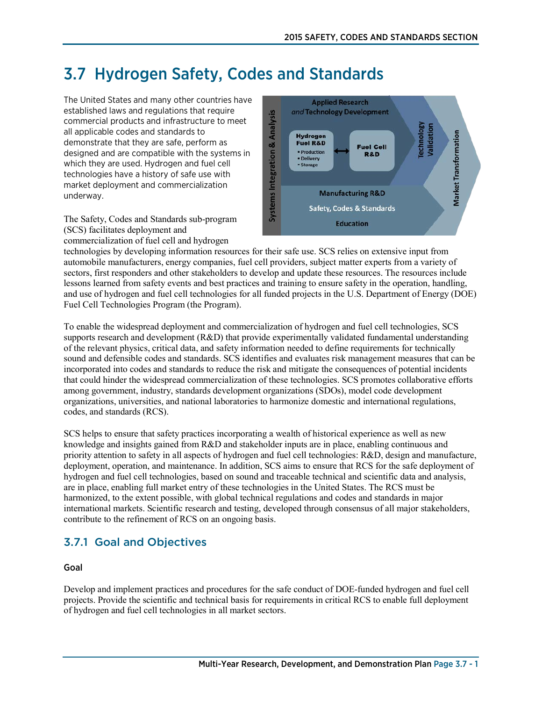# 3.7 Hydrogen Safety, Codes and Standards

The United States and many other countries have established laws and regulations that require commercial products and infrastructure to meet all applicable codes and standards to demonstrate that they are safe, perform as designed and are compatible with the systems in which they are used. Hydrogen and fuel cell technologies have a history of safe use with market deployment and commercialization underway.

The Safety, Codes and Standards sub-program (SCS) facilitates deployment and commercialization of fuel cell and hydrogen



technologies by developing information resources for their safe use. SCS relies on extensive input from automobile manufacturers, energy companies, fuel cell providers, subject matter experts from a variety of sectors, first responders and other stakeholders to develop and update these resources. The resources include lessons learned from safety events and best practices and training to ensure safety in the operation, handling, and use of hydrogen and fuel cell technologies for all funded projects in the U.S. Department of Energy (DOE) Fuel Cell Technologies Program (the Program).

To enable the widespread deployment and commercialization of hydrogen and fuel cell technologies, SCS supports research and development (R&D) that provide experimentally validated fundamental understanding of the relevant physics, critical data, and safety information needed to define requirements for technically sound and defensible codes and standards. SCS identifies and evaluates risk management measures that can be incorporated into codes and standards to reduce the risk and mitigate the consequences of potential incidents that could hinder the widespread commercialization of these technologies. SCS promotes collaborative efforts among government, industry, standards development organizations (SDOs), model code development organizations, universities, and national laboratories to harmonize domestic and international regulations, codes, and standards (RCS).

SCS helps to ensure that safety practices incorporating a wealth of historical experience as well as new knowledge and insights gained from R&D and stakeholder inputs are in place, enabling continuous and priority attention to safety in all aspects of hydrogen and fuel cell technologies: R&D, design and manufacture, deployment, operation, and maintenance. In addition, SCS aims to ensure that RCS for the safe deployment of hydrogen and fuel cell technologies, based on sound and traceable technical and scientific data and analysis, are in place, enabling full market entry of these technologies in the United States. The RCS must be harmonized, to the extent possible, with global technical regulations and codes and standards in major international markets. Scientific research and testing, developed through consensus of all major stakeholders, contribute to the refinement of RCS on an ongoing basis.

# 3.7.1 Goal and Objectives

#### Goal

Develop and implement practices and procedures for the safe conduct of DOE-funded hydrogen and fuel cell projects. Provide the scientific and technical basis for requirements in critical RCS to enable full deployment of hydrogen and fuel cell technologies in all market sectors.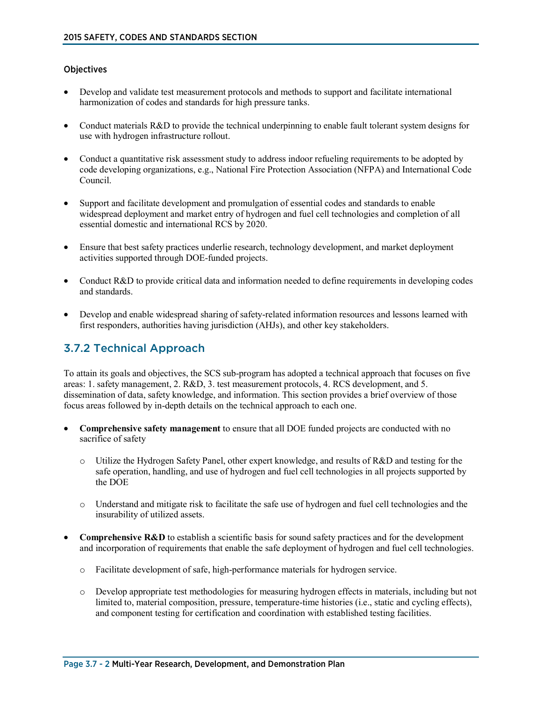#### **Objectives**

- Develop and validate test measurement protocols and methods to support and facilitate international harmonization of codes and standards for high pressure tanks.
- Conduct materials R&D to provide the technical underpinning to enable fault tolerant system designs for use with hydrogen infrastructure rollout.
- Conduct a quantitative risk assessment study to address indoor refueling requirements to be adopted by code developing organizations, e.g., National Fire Protection Association (NFPA) and International Code Council.
- Support and facilitate development and promulgation of essential codes and standards to enable widespread deployment and market entry of hydrogen and fuel cell technologies and completion of all essential domestic and international RCS by 2020.
- Ensure that best safety practices underlie research, technology development, and market deployment activities supported through DOE-funded projects.
- Conduct R&D to provide critical data and information needed to define requirements in developing codes and standards.
- Develop and enable widespread sharing of safety-related information resources and lessons learned with first responders, authorities having jurisdiction (AHJs), and other key stakeholders.

## 3.7.2 Technical Approach

To attain its goals and objectives, the SCS sub-program has adopted a technical approach that focuses on five areas: 1. safety management, 2. R&D, 3. test measurement protocols, 4. RCS development, and 5. dissemination of data, safety knowledge, and information. This section provides a brief overview of those focus areas followed by in-depth details on the technical approach to each one.

- **Comprehensive safety management** to ensure that all DOE funded projects are conducted with no sacrifice of safety
	- o Utilize the Hydrogen Safety Panel, other expert knowledge, and results of R&D and testing for the safe operation, handling, and use of hydrogen and fuel cell technologies in all projects supported by the DOE
	- o Understand and mitigate risk to facilitate the safe use of hydrogen and fuel cell technologies and the insurability of utilized assets.
- **Comprehensive R&D** to establish a scientific basis for sound safety practices and for the development and incorporation of requirements that enable the safe deployment of hydrogen and fuel cell technologies.
	- o Facilitate development of safe, high-performance materials for hydrogen service.
	- o Develop appropriate test methodologies for measuring hydrogen effects in materials, including but not limited to, material composition, pressure, temperature-time histories (i.e., static and cycling effects), and component testing for certification and coordination with established testing facilities.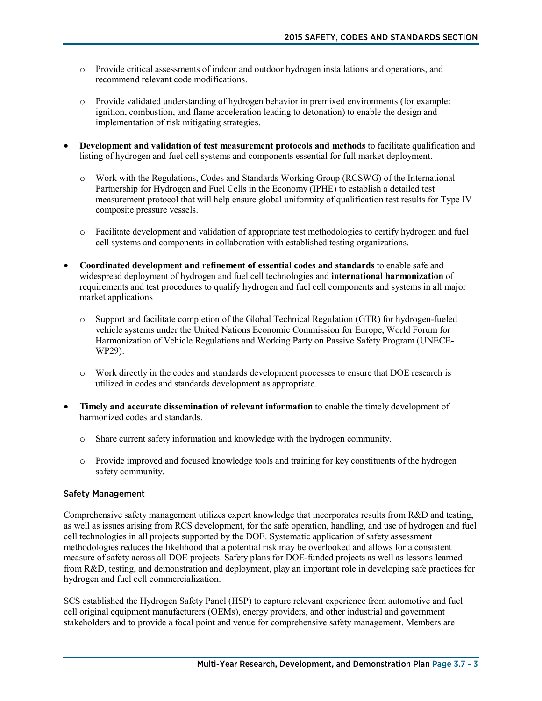- o Provide critical assessments of indoor and outdoor hydrogen installations and operations, and recommend relevant code modifications.
- o Provide validated understanding of hydrogen behavior in premixed environments (for example: ignition, combustion, and flame acceleration leading to detonation) to enable the design and implementation of risk mitigating strategies.
- **Development and validation of test measurement protocols and methods** to facilitate qualification and listing of hydrogen and fuel cell systems and components essential for full market deployment.
	- o Work with the Regulations, Codes and Standards Working Group (RCSWG) of the International Partnership for Hydrogen and Fuel Cells in the Economy (IPHE) to establish a detailed test measurement protocol that will help ensure global uniformity of qualification test results for Type IV composite pressure vessels.
	- o Facilitate development and validation of appropriate test methodologies to certify hydrogen and fuel cell systems and components in collaboration with established testing organizations.
- **Coordinated development and refinement of essential codes and standards** to enable safe and widespread deployment of hydrogen and fuel cell technologies and **international harmonization** of requirements and test procedures to qualify hydrogen and fuel cell components and systems in all major market applications
	- o Support and facilitate completion of the Global Technical Regulation (GTR) for hydrogen-fueled vehicle systems under the United Nations Economic Commission for Europe, World Forum for Harmonization of Vehicle Regulations and Working Party on Passive Safety Program (UNECE-WP29).
	- o Work directly in the codes and standards development processes to ensure that DOE research is utilized in codes and standards development as appropriate.
- **Timely and accurate dissemination of relevant information** to enable the timely development of harmonized codes and standards.
	- o Share current safety information and knowledge with the hydrogen community.
	- o Provide improved and focused knowledge tools and training for key constituents of the hydrogen safety community.

#### Safety Management

Comprehensive safety management utilizes expert knowledge that incorporates results from R&D and testing, as well as issues arising from RCS development, for the safe operation, handling, and use of hydrogen and fuel cell technologies in all projects supported by the DOE. Systematic application of safety assessment methodologies reduces the likelihood that a potential risk may be overlooked and allows for a consistent measure of safety across all DOE projects. Safety plans for DOE-funded projects as well as lessons learned from R&D, testing, and demonstration and deployment, play an important role in developing safe practices for hydrogen and fuel cell commercialization.

SCS established the Hydrogen Safety Panel (HSP) to capture relevant experience from automotive and fuel cell original equipment manufacturers (OEMs), energy providers, and other industrial and government stakeholders and to provide a focal point and venue for comprehensive safety management. Members are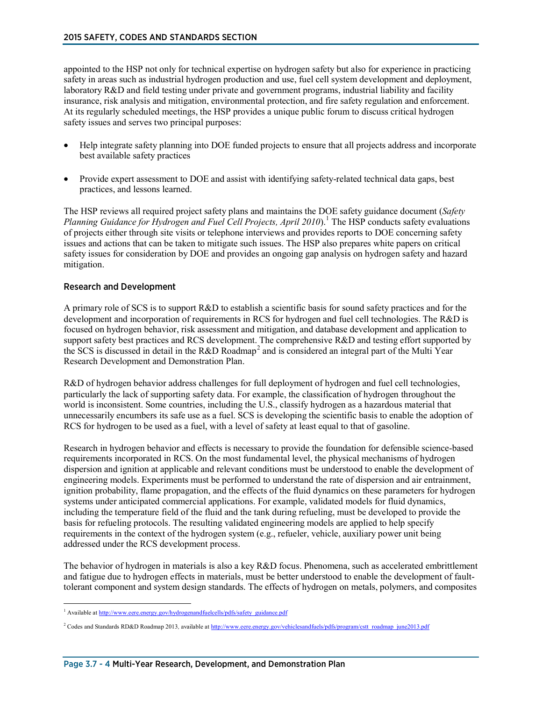appointed to the HSP not only for technical expertise on hydrogen safety but also for experience in practicing safety in areas such as industrial hydrogen production and use, fuel cell system development and deployment, laboratory R&D and field testing under private and government programs, industrial liability and facility insurance, risk analysis and mitigation, environmental protection, and fire safety regulation and enforcement. At its regularly scheduled meetings, the HSP provides a unique public forum to discuss critical hydrogen safety issues and serves two principal purposes:

- Help integrate safety planning into DOE funded projects to ensure that all projects address and incorporate best available safety practices
- Provide expert assessment to DOE and assist with identifying safety-related technical data gaps, best practices, and lessons learned.

The HSP reviews all required project safety plans and maintains the DOE safety guidance document (*Safety Planning Guidance for Hydrogen and Fuel Cell Projects, April 20[1](#page-3-0)0*).<sup>1</sup> The HSP conducts safety evaluations of projects either through site visits or telephone interviews and provides reports to DOE concerning safety issues and actions that can be taken to mitigate such issues. The HSP also prepares white papers on critical safety issues for consideration by DOE and provides an ongoing gap analysis on hydrogen safety and hazard mitigation.

#### Research and Development

A primary role of SCS is to support R&D to establish a scientific basis for sound safety practices and for the development and incorporation of requirements in RCS for hydrogen and fuel cell technologies. The R&D is focused on hydrogen behavior, risk assessment and mitigation, and database development and application to support safety best practices and RCS development. The comprehensive R&D and testing effort supported by the SCS is discussed in detail in the R&D Roadmap<sup>[2](#page-3-1)</sup> and is considered an integral part of the Multi Year Research Development and Demonstration Plan.

R&D of hydrogen behavior address challenges for full deployment of hydrogen and fuel cell technologies, particularly the lack of supporting safety data. For example, the classification of hydrogen throughout the world is inconsistent. Some countries, including the U.S., classify hydrogen as a hazardous material that unnecessarily encumbers its safe use as a fuel. SCS is developing the scientific basis to enable the adoption of RCS for hydrogen to be used as a fuel, with a level of safety at least equal to that of gasoline.

Research in hydrogen behavior and effects is necessary to provide the foundation for defensible science-based requirements incorporated in RCS. On the most fundamental level, the physical mechanisms of hydrogen dispersion and ignition at applicable and relevant conditions must be understood to enable the development of engineering models. Experiments must be performed to understand the rate of dispersion and air entrainment, ignition probability, flame propagation, and the effects of the fluid dynamics on these parameters for hydrogen systems under anticipated commercial applications. For example, validated models for fluid dynamics, including the temperature field of the fluid and the tank during refueling, must be developed to provide the basis for refueling protocols. The resulting validated engineering models are applied to help specify requirements in the context of the hydrogen system (e.g., refueler, vehicle, auxiliary power unit being addressed under the RCS development process.

The behavior of hydrogen in materials is also a key R&D focus. Phenomena, such as accelerated embrittlement and fatigue due to hydrogen effects in materials, must be better understood to enable the development of faulttolerant component and system design standards. The effects of hydrogen on metals, polymers, and composites

<span id="page-3-0"></span><sup>&</sup>lt;sup>1</sup> Available at [http://www.eere.energy.gov/hydrogenandfuelcells/pdfs/safety\\_guidance.pdf](http://www.eere.energy.gov/hydrogenandfuelcells/pdfs/safety_guidance.pdf)

<span id="page-3-1"></span><sup>&</sup>lt;sup>2</sup> Codes and Standards RD&D Roadmap 2013, available a[t http://www.eere.energy.gov/vehiclesandfuels/pdfs/program/cstt\\_roadmap\\_june2013.pdf](http://www.eere.energy.gov/vehiclesandfuels/pdfs/program/cstt_roadmap_june2013.pdf)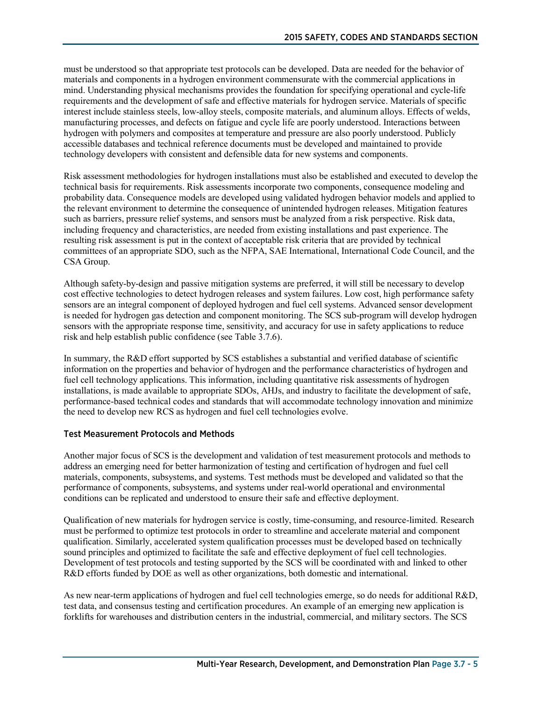must be understood so that appropriate test protocols can be developed. Data are needed for the behavior of materials and components in a hydrogen environment commensurate with the commercial applications in mind. Understanding physical mechanisms provides the foundation for specifying operational and cycle-life requirements and the development of safe and effective materials for hydrogen service. Materials of specific interest include stainless steels, low-alloy steels, composite materials, and aluminum alloys. Effects of welds, manufacturing processes, and defects on fatigue and cycle life are poorly understood. Interactions between hydrogen with polymers and composites at temperature and pressure are also poorly understood. Publicly accessible databases and technical reference documents must be developed and maintained to provide technology developers with consistent and defensible data for new systems and components.

Risk assessment methodologies for hydrogen installations must also be established and executed to develop the technical basis for requirements. Risk assessments incorporate two components, consequence modeling and probability data. Consequence models are developed using validated hydrogen behavior models and applied to the relevant environment to determine the consequence of unintended hydrogen releases. Mitigation features such as barriers, pressure relief systems, and sensors must be analyzed from a risk perspective. Risk data, including frequency and characteristics, are needed from existing installations and past experience. The resulting risk assessment is put in the context of acceptable risk criteria that are provided by technical committees of an appropriate SDO, such as the NFPA, SAE International, International Code Council, and the CSA Group.

Although safety-by-design and passive mitigation systems are preferred, it will still be necessary to develop cost effective technologies to detect hydrogen releases and system failures. Low cost, high performance safety sensors are an integral component of deployed hydrogen and fuel cell systems. Advanced sensor development is needed for hydrogen gas detection and component monitoring. The SCS sub-program will develop hydrogen sensors with the appropriate response time, sensitivity, and accuracy for use in safety applications to reduce risk and help establish public confidence (see Table 3.7.6).

In summary, the R&D effort supported by SCS establishes a substantial and verified database of scientific information on the properties and behavior of hydrogen and the performance characteristics of hydrogen and fuel cell technology applications. This information, including quantitative risk assessments of hydrogen installations, is made available to appropriate SDOs, AHJs, and industry to facilitate the development of safe, performance-based technical codes and standards that will accommodate technology innovation and minimize the need to develop new RCS as hydrogen and fuel cell technologies evolve.

#### Test Measurement Protocols and Methods

Another major focus of SCS is the development and validation of test measurement protocols and methods to address an emerging need for better harmonization of testing and certification of hydrogen and fuel cell materials, components, subsystems, and systems. Test methods must be developed and validated so that the performance of components, subsystems, and systems under real-world operational and environmental conditions can be replicated and understood to ensure their safe and effective deployment.

Qualification of new materials for hydrogen service is costly, time-consuming, and resource-limited. Research must be performed to optimize test protocols in order to streamline and accelerate material and component qualification. Similarly, accelerated system qualification processes must be developed based on technically sound principles and optimized to facilitate the safe and effective deployment of fuel cell technologies. Development of test protocols and testing supported by the SCS will be coordinated with and linked to other R&D efforts funded by DOE as well as other organizations, both domestic and international.

As new near-term applications of hydrogen and fuel cell technologies emerge, so do needs for additional R&D, test data, and consensus testing and certification procedures. An example of an emerging new application is forklifts for warehouses and distribution centers in the industrial, commercial, and military sectors. The SCS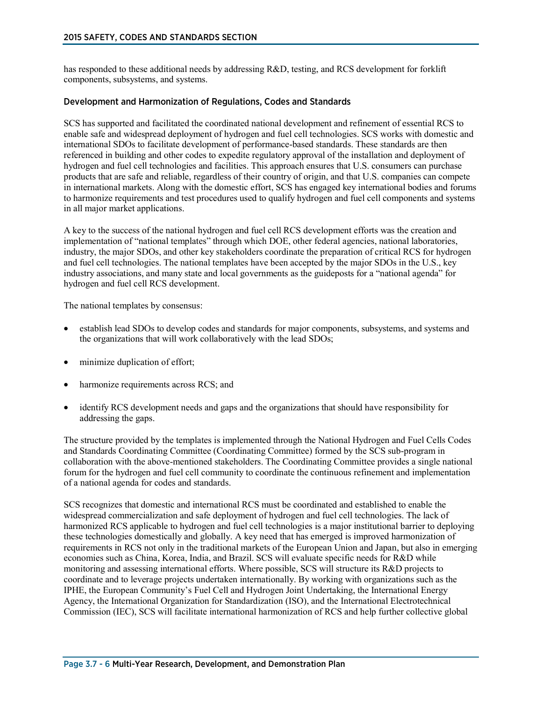has responded to these additional needs by addressing R&D, testing, and RCS development for forklift components, subsystems, and systems.

#### Development and Harmonization of Regulations, Codes and Standards

SCS has supported and facilitated the coordinated national development and refinement of essential RCS to enable safe and widespread deployment of hydrogen and fuel cell technologies. SCS works with domestic and international SDOs to facilitate development of performance-based standards. These standards are then referenced in building and other codes to expedite regulatory approval of the installation and deployment of hydrogen and fuel cell technologies and facilities. This approach ensures that U.S. consumers can purchase products that are safe and reliable, regardless of their country of origin, and that U.S. companies can compete in international markets. Along with the domestic effort, SCS has engaged key international bodies and forums to harmonize requirements and test procedures used to qualify hydrogen and fuel cell components and systems in all major market applications.

A key to the success of the national hydrogen and fuel cell RCS development efforts was the creation and implementation of "national templates" through which DOE, other federal agencies, national laboratories, industry, the major SDOs, and other key stakeholders coordinate the preparation of critical RCS for hydrogen and fuel cell technologies. The national templates have been accepted by the major SDOs in the U.S., key industry associations, and many state and local governments as the guideposts for a "national agenda" for hydrogen and fuel cell RCS development.

The national templates by consensus:

- establish lead SDOs to develop codes and standards for major components, subsystems, and systems and the organizations that will work collaboratively with the lead SDOs;
- minimize duplication of effort;
- harmonize requirements across RCS; and
- identify RCS development needs and gaps and the organizations that should have responsibility for addressing the gaps.

The structure provided by the templates is implemented through the National Hydrogen and Fuel Cells Codes and Standards Coordinating Committee (Coordinating Committee) formed by the SCS sub-program in collaboration with the above-mentioned stakeholders. The Coordinating Committee provides a single national forum for the hydrogen and fuel cell community to coordinate the continuous refinement and implementation of a national agenda for codes and standards.

SCS recognizes that domestic and international RCS must be coordinated and established to enable the widespread commercialization and safe deployment of hydrogen and fuel cell technologies. The lack of harmonized RCS applicable to hydrogen and fuel cell technologies is a major institutional barrier to deploying these technologies domestically and globally. A key need that has emerged is improved harmonization of requirements in RCS not only in the traditional markets of the European Union and Japan, but also in emerging economies such as China, Korea, India, and Brazil. SCS will evaluate specific needs for R&D while monitoring and assessing international efforts. Where possible, SCS will structure its R&D projects to coordinate and to leverage projects undertaken internationally. By working with organizations such as the IPHE, the European Community's Fuel Cell and Hydrogen Joint Undertaking, the International Energy Agency, the International Organization for Standardization (ISO), and the International Electrotechnical Commission (IEC), SCS will facilitate international harmonization of RCS and help further collective global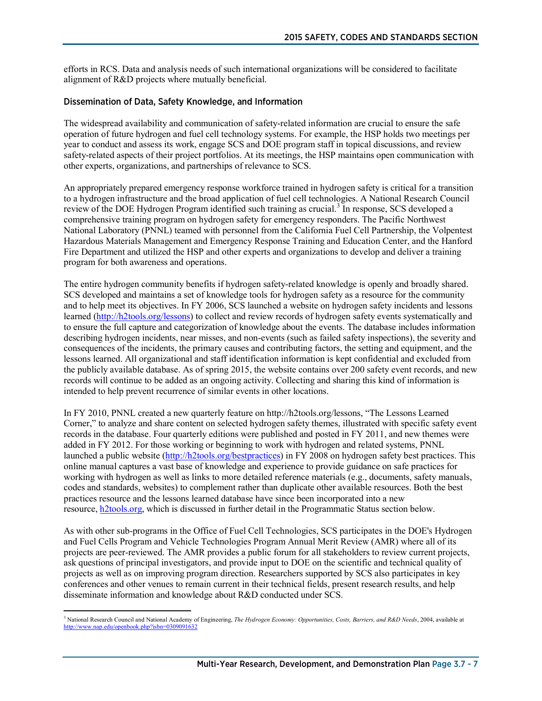efforts in RCS. Data and analysis needs of such international organizations will be considered to facilitate alignment of R&D projects where mutually beneficial.

#### Dissemination of Data, Safety Knowledge, and Information

The widespread availability and communication of safety-related information are crucial to ensure the safe operation of future hydrogen and fuel cell technology systems. For example, the HSP holds two meetings per year to conduct and assess its work, engage SCS and DOE program staff in topical discussions, and review safety-related aspects of their project portfolios. At its meetings, the HSP maintains open communication with other experts, organizations, and partnerships of relevance to SCS.

An appropriately prepared emergency response workforce trained in hydrogen safety is critical for a transition to a hydrogen infrastructure and the broad application of fuel cell technologies. A National Research Council review of the DOE Hydrogen Program identified such training as crucial.<sup>[3](#page-6-0)</sup> In response, SCS developed a comprehensive training program on hydrogen safety for emergency responders. The Pacific Northwest National Laboratory (PNNL) teamed with personnel from the California Fuel Cell Partnership, the Volpentest Hazardous Materials Management and Emergency Response Training and Education Center, and the Hanford Fire Department and utilized the HSP and other experts and organizations to develop and deliver a training program for both awareness and operations.

The entire hydrogen community benefits if hydrogen safety-related knowledge is openly and broadly shared. SCS developed and maintains a set of knowledge tools for hydrogen safety as a resource for the community and to help meet its objectives. In FY 2006, SCS launched a website on hydrogen safety incidents and lessons learned [\(http://h2tools.org/lessons\)](http://h2tools.org/lessons) to collect and review records of hydrogen safety events systematically and to ensure the full capture and categorization of knowledge about the events. The database includes information describing hydrogen incidents, near misses, and non-events (such as failed safety inspections), the severity and consequences of the incidents, the primary causes and contributing factors, the setting and equipment, and the lessons learned. All organizational and staff identification information is kept confidential and excluded from the publicly available database. As of spring 2015, the website contains over 200 safety event records, and new records will continue to be added as an ongoing activity. Collecting and sharing this kind of information is intended to help prevent recurrence of similar events in other locations.

In FY 2010, PNNL created a new quarterly feature on http://h2tools.org/lessons, "The Lessons Learned Corner," to analyze and share content on selected hydrogen safety themes, illustrated with specific safety event records in the database. Four quarterly editions were published and posted in FY 2011, and new themes were added in FY 2012. For those working or beginning to work with hydrogen and related systems, PNNL launched a public website [\(http://h2tools.org/bestpractices\)](http://h2tools.org/bestpractices) in FY 2008 on hydrogen safety best practices. This online manual captures a vast base of knowledge and experience to provide guidance on safe practices for working with hydrogen as well as links to more detailed reference materials (e.g., documents, safety manuals, codes and standards, websites) to complement rather than duplicate other available resources. Both the best practices resource and the lessons learned database have since been incorporated into a new resource, [h2tools.org,](http://h2tools.org/) which is discussed in further detail in the Programmatic Status section below.

As with other sub-programs in the Office of Fuel Cell Technologies, SCS participates in the DOE's Hydrogen and Fuel Cells Program and Vehicle Technologies Program Annual Merit Review (AMR) where all of its projects are peer-reviewed. The AMR provides a public forum for all stakeholders to review current projects, ask questions of principal investigators, and provide input to DOE on the scientific and technical quality of projects as well as on improving program direction. Researchers supported by SCS also participates in key conferences and other venues to remain current in their technical fields, present research results, and help disseminate information and knowledge about R&D conducted under SCS.

<span id="page-6-0"></span> <sup>3</sup> National Research Council and National Academy of Engineering, *The Hydrogen Economy: Opportunities, Costs, Barriers, and R&D Needs*, 2004, available at <http://www.nap.edu/openbook.php?isbn=0309091632>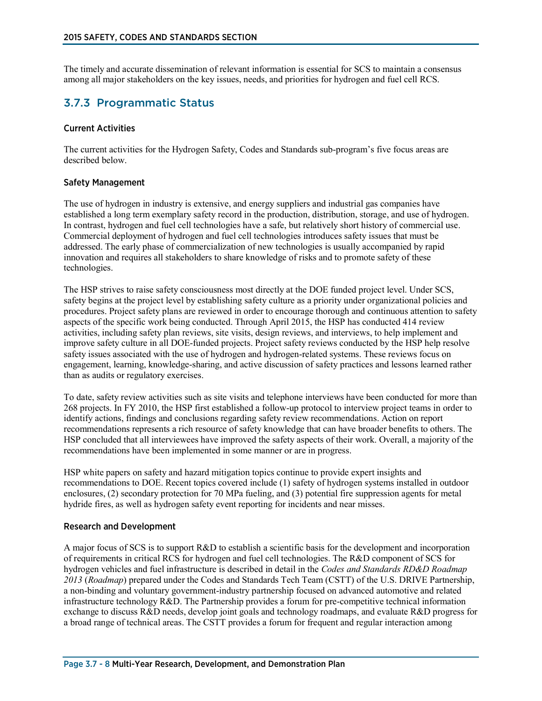The timely and accurate dissemination of relevant information is essential for SCS to maintain a consensus among all major stakeholders on the key issues, needs, and priorities for hydrogen and fuel cell RCS.

## 3.7.3 Programmatic Status

#### Current Activities

The current activities for the Hydrogen Safety, Codes and Standards sub-program's five focus areas are described below.

#### Safety Management

The use of hydrogen in industry is extensive, and energy suppliers and industrial gas companies have established a long term exemplary safety record in the production, distribution, storage, and use of hydrogen. In contrast, hydrogen and fuel cell technologies have a safe, but relatively short history of commercial use. Commercial deployment of hydrogen and fuel cell technologies introduces safety issues that must be addressed. The early phase of commercialization of new technologies is usually accompanied by rapid innovation and requires all stakeholders to share knowledge of risks and to promote safety of these technologies.

The HSP strives to raise safety consciousness most directly at the DOE funded project level. Under SCS, safety begins at the project level by establishing safety culture as a priority under organizational policies and procedures. Project safety plans are reviewed in order to encourage thorough and continuous attention to safety aspects of the specific work being conducted. Through April 2015, the HSP has conducted 414 review activities, including safety plan reviews, site visits, design reviews, and interviews, to help implement and improve safety culture in all DOE-funded projects. Project safety reviews conducted by the HSP help resolve safety issues associated with the use of hydrogen and hydrogen-related systems. These reviews focus on engagement, learning, knowledge-sharing, and active discussion of safety practices and lessons learned rather than as audits or regulatory exercises.

To date, safety review activities such as site visits and telephone interviews have been conducted for more than 268 projects. In FY 2010, the HSP first established a follow-up protocol to interview project teams in order to identify actions, findings and conclusions regarding safety review recommendations. Action on report recommendations represents a rich resource of safety knowledge that can have broader benefits to others. The HSP concluded that all interviewees have improved the safety aspects of their work. Overall, a majority of the recommendations have been implemented in some manner or are in progress.

HSP white papers on safety and hazard mitigation topics continue to provide expert insights and recommendations to DOE. Recent topics covered include (1) safety of hydrogen systems installed in outdoor enclosures, (2) secondary protection for 70 MPa fueling, and (3) potential fire suppression agents for metal hydride fires, as well as hydrogen safety event reporting for incidents and near misses.

#### Research and Development

A major focus of SCS is to support R&D to establish a scientific basis for the development and incorporation of requirements in critical RCS for hydrogen and fuel cell technologies. The R&D component of SCS for hydrogen vehicles and fuel infrastructure is described in detail in the *Codes and Standards RD&D Roadmap 2013* (*Roadmap*) prepared under the Codes and Standards Tech Team (CSTT) of the U.S. DRIVE Partnership, a non-binding and voluntary government-industry partnership focused on advanced automotive and related infrastructure technology R&D. The Partnership provides a forum for pre-competitive technical information exchange to discuss R&D needs, develop joint goals and technology [roadmaps,](http://www1.eere.energy.gov/vehiclesandfuels/about/partnerships/roadmaps-other_docs.html) and evaluate R&D progress for a broad range of technical areas. The CSTT provides a forum for frequent and regular interaction among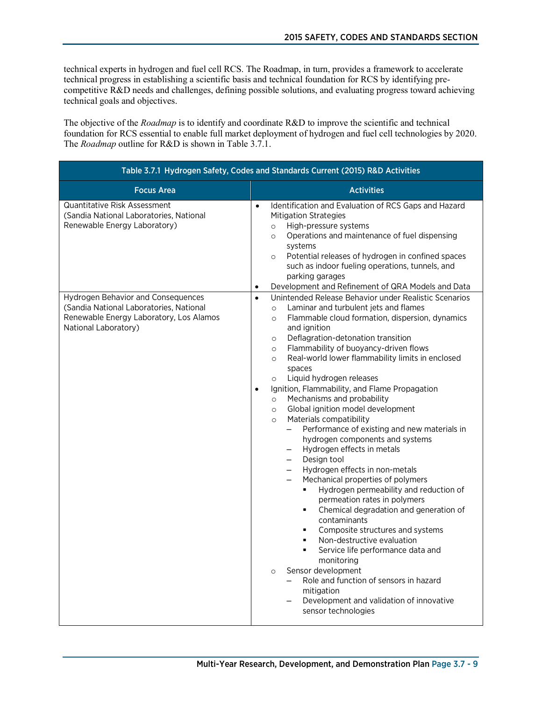technical experts in hydrogen and fuel cell RCS. The Roadmap, in turn, provides a framework to accelerate technical progress in establishing a scientific basis and technical foundation for RCS by identifying precompetitive R&D needs and challenges, defining possible solutions, and evaluating progress toward achieving technical goals and objectives.

The objective of the *Roadmap* is to identify and coordinate R&D to improve the scientific and technical foundation for RCS essential to enable full market deployment of hydrogen and fuel cell technologies by 2020. The *Roadmap* outline for R&D is shown in Table 3.7.1.

| Table 3.7.1 Hydrogen Safety, Codes and Standards Current (2015) R&D Activities                                                                   |                                                                                                                                                                                                                                                                                                                                                                                                                                                                                                                                                                                                                                                                                                                                                                                                                                                                                                                                                                                                                                                                                                                                                                                                                                                                                                                                                  |  |
|--------------------------------------------------------------------------------------------------------------------------------------------------|--------------------------------------------------------------------------------------------------------------------------------------------------------------------------------------------------------------------------------------------------------------------------------------------------------------------------------------------------------------------------------------------------------------------------------------------------------------------------------------------------------------------------------------------------------------------------------------------------------------------------------------------------------------------------------------------------------------------------------------------------------------------------------------------------------------------------------------------------------------------------------------------------------------------------------------------------------------------------------------------------------------------------------------------------------------------------------------------------------------------------------------------------------------------------------------------------------------------------------------------------------------------------------------------------------------------------------------------------|--|
| <b>Focus Area</b>                                                                                                                                | <b>Activities</b>                                                                                                                                                                                                                                                                                                                                                                                                                                                                                                                                                                                                                                                                                                                                                                                                                                                                                                                                                                                                                                                                                                                                                                                                                                                                                                                                |  |
| <b>Quantitative Risk Assessment</b><br>(Sandia National Laboratories, National<br>Renewable Energy Laboratory)                                   | Identification and Evaluation of RCS Gaps and Hazard<br>$\bullet$<br><b>Mitigation Strategies</b><br>High-pressure systems<br>$\circ$<br>Operations and maintenance of fuel dispensing<br>$\circ$<br>systems<br>Potential releases of hydrogen in confined spaces<br>$\circ$<br>such as indoor fueling operations, tunnels, and<br>parking garages<br>Development and Refinement of QRA Models and Data<br>$\bullet$                                                                                                                                                                                                                                                                                                                                                                                                                                                                                                                                                                                                                                                                                                                                                                                                                                                                                                                             |  |
| Hydrogen Behavior and Consequences<br>(Sandia National Laboratories, National<br>Renewable Energy Laboratory, Los Alamos<br>National Laboratory) | Unintended Release Behavior under Realistic Scenarios<br>$\bullet$<br>Laminar and turbulent jets and flames<br>$\circ$<br>Flammable cloud formation, dispersion, dynamics<br>$\circ$<br>and ignition<br>Deflagration-detonation transition<br>$\circ$<br>Flammability of buoyancy-driven flows<br>$\circ$<br>Real-world lower flammability limits in enclosed<br>$\circ$<br>spaces<br>Liquid hydrogen releases<br>$\circ$<br>Ignition, Flammability, and Flame Propagation<br>$\bullet$<br>Mechanisms and probability<br>$\circ$<br>Global ignition model development<br>$\circ$<br>Materials compatibility<br>$\circ$<br>Performance of existing and new materials in<br>$-$<br>hydrogen components and systems<br>Hydrogen effects in metals<br>Design tool<br>$-$<br>Hydrogen effects in non-metals<br>Mechanical properties of polymers<br>$\overline{\phantom{0}}$<br>Hydrogen permeability and reduction of<br>٠<br>permeation rates in polymers<br>Chemical degradation and generation of<br>٠<br>contaminants<br>Composite structures and systems<br>п.<br>Non-destructive evaluation<br>$\blacksquare$<br>Service life performance data and<br>$\blacksquare$<br>monitoring<br>Sensor development<br>$\circ$<br>Role and function of sensors in hazard<br>mitigation<br>Development and validation of innovative<br>sensor technologies |  |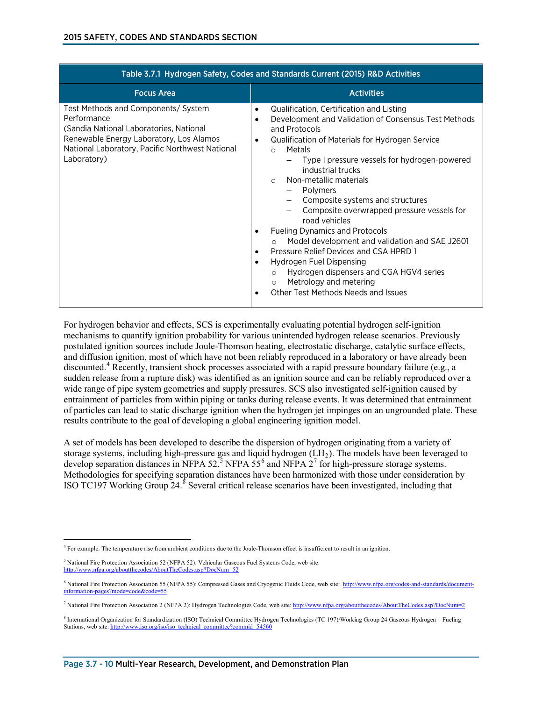| Table 3.7.1 Hydrogen Safety, Codes and Standards Current (2015) R&D Activities                                                                                                                             |                                                                                                                                                                                                                                                                                                                                                                                                                                                                                                                                                                                                                                                                                                                                                  |  |
|------------------------------------------------------------------------------------------------------------------------------------------------------------------------------------------------------------|--------------------------------------------------------------------------------------------------------------------------------------------------------------------------------------------------------------------------------------------------------------------------------------------------------------------------------------------------------------------------------------------------------------------------------------------------------------------------------------------------------------------------------------------------------------------------------------------------------------------------------------------------------------------------------------------------------------------------------------------------|--|
| <b>Focus Area</b>                                                                                                                                                                                          | <b>Activities</b>                                                                                                                                                                                                                                                                                                                                                                                                                                                                                                                                                                                                                                                                                                                                |  |
| Test Methods and Components/ System<br>Performance<br>(Sandia National Laboratories, National<br>Renewable Energy Laboratory, Los Alamos<br>National Laboratory, Pacific Northwest National<br>Laboratory) | Qualification, Certification and Listing<br>Development and Validation of Consensus Test Methods<br>$\bullet$<br>and Protocols<br>Qualification of Materials for Hydrogen Service<br>٠<br>Metals<br>$\circ$<br>Type I pressure vessels for hydrogen-powered<br>industrial trucks<br>Non-metallic materials<br>$\bigcap$<br><b>Polymers</b><br>Composite systems and structures<br>Composite overwrapped pressure vessels for<br>road vehicles<br><b>Fueling Dynamics and Protocols</b><br>Model development and validation and SAE J2601<br>Pressure Relief Devices and CSA HPRD 1<br>Hydrogen Fuel Dispensing<br>Hydrogen dispensers and CGA HGV4 series<br>$\circ$<br>Metrology and metering<br>$\circ$<br>Other Test Methods Needs and Issues |  |

For hydrogen behavior and effects, SCS is experimentally evaluating potential hydrogen self-ignition mechanisms to quantify ignition probability for various unintended hydrogen release scenarios. Previously postulated ignition sources include Joule-Thomson heating, electrostatic discharge, catalytic surface effects, and diffusion ignition, most of which have not been reliably reproduced in a laboratory or have already been discounted. [4](#page-9-0) Recently, transient shock processes associated with a rapid pressure boundary failure (e.g., a sudden release from a rupture disk) was identified as an ignition source and can be reliably reproduced over a wide range of pipe system geometries and supply pressures. SCS also investigated self-ignition caused by entrainment of particles from within piping or tanks during release events. It was determined that entrainment of particles can lead to static discharge ignition when the hydrogen jet impinges on an ungrounded plate. These results contribute to the goal of developing a global engineering ignition model.

A set of models has been developed to describe the dispersion of hydrogen originating from a variety of storage systems, including high-pressure gas and liquid hydrogen  $(LH<sub>2</sub>)$ . The models have been leveraged to develop separation distances in NFPA [5](#page-9-1)2,<sup>5</sup> NFPA 55<sup>[6](#page-9-2)</sup> and NFPA 2<sup>[7](#page-9-3)</sup> for high-pressure storage systems. Methodologies for specifying separation distances have been harmonized with those under consideration by ISO TC197 Working Group 24.<sup>[8](#page-9-4)</sup> Several critical release scenarios have been investigated, including that

<span id="page-9-0"></span> $\overline{a}$ <sup>4</sup> For example: The temperature rise from ambient conditions due to the Joule-Thomson effect is insufficient to result in an ignition.

<span id="page-9-1"></span><sup>5</sup> National Fire Protection Association 52 (NFPA 52): Vehicular Gaseous Fuel Systems Code, web site: <http://www.nfpa.org/aboutthecodes/AboutTheCodes.asp?DocNum=52>

<span id="page-9-2"></span><sup>&</sup>lt;sup>6</sup> National Fire Protection Association 55 (NFPA 55): Compressed Gases and Cryogenic Fluids Code, web site: http://www.nfpa.org/codes-and-standards/documentinformation-pages?mode=code&code=55

<span id="page-9-3"></span><sup>7</sup> National Fire Protection Association 2 (NFPA 2): Hydrogen Technologies Code, web site[: http://www.nfpa.org/aboutthecodes/AboutTheCodes.asp?DocNum=2](http://www.nfpa.org/aboutthecodes/AboutTheCodes.asp?DocNum=2)

<span id="page-9-4"></span><sup>8</sup> International Organization for Standardization (ISO) Technical Committee Hydrogen Technologies (TC 197)/Working Group 24 Gaseous Hydrogen – Fueling Stations, web site: http://www.iso.org/iso/iso\_technical\_committee?commid=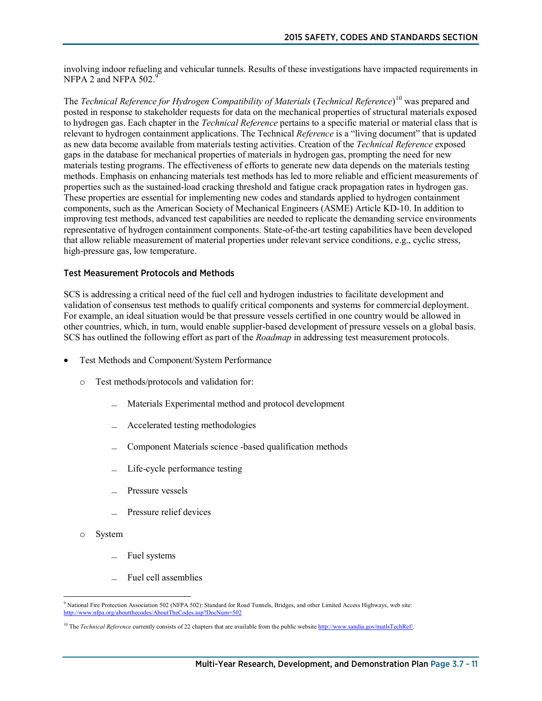involving indoor refueling and vehicular tunnels. Results of these investigations have impacted requirements in NFPA 2 and NFPA  $502.<sup>9</sup>$  $502.<sup>9</sup>$  $502.<sup>9</sup>$ 

The *Technical Reference for Hydrogen Compatibility of Materials* (*Technical Reference*) [10](#page-10-1) was prepared and posted in response to stakeholder requests for data on the mechanical properties of structural materials exposed to hydrogen gas. Each chapter in the *Technical Reference* pertains to a specific material or material class that is relevant to hydrogen containment applications. The Technical *Reference* is a "living document" that is updated as new data become available from materials testing activities. Creation of the *Technical Reference* exposed gaps in the database for mechanical properties of materials in hydrogen gas, prompting the need for new materials testing programs. The effectiveness of efforts to generate new data depends on the materials testing methods. Emphasis on enhancing materials test methods has led to more reliable and efficient measurements of properties such as the sustained-load cracking threshold and fatigue crack propagation rates in hydrogen gas. These properties are essential for implementing new codes and standards applied to hydrogen containment components, such as the American Society of Mechanical Engineers (ASME) Article KD-10. In addition to improving test methods, advanced test capabilities are needed to replicate the demanding service environments representative of hydrogen containment components. State-of-the-art testing capabilities have been developed that allow reliable measurement of material properties under relevant service conditions, e.g., cyclic stress, high-pressure gas, low temperature.

#### Test Measurement Protocols and Methods

SCS is addressing a critical need of the fuel cell and hydrogen industries to facilitate development and validation of consensus test methods to qualify critical components and systems for commercial deployment. For example, an ideal situation would be that pressure vessels certified in one country would be allowed in other countries, which, in turn, would enable supplier-based development of pressure vessels on a global basis. SCS has outlined the following effort as part of the *Roadmap* in addressing test measurement protocols.

- Test Methods and Component/System Performance
	- o Test methods/protocols and validation for:
		- Materials Experimental method and protocol development
		- ̶ Accelerated testing methodologies
		- ̶ Component Materials science -based qualification methods
		- Life-cycle performance testing
		- Pressure vessels
		- Pressure relief devices
	- o System
		- Fuel systems
		- ̶ Fuel cell assemblies

<span id="page-10-0"></span><sup>&</sup>lt;sup>9</sup> National Fire Protection Association 502 (NFPA 502): Standard for Road Tunnels, Bridges, and other Limited Access Highways, web site: <http://www.nfpa.org/aboutthecodes/AboutTheCodes.asp?DocNum=502>

<span id="page-10-1"></span><sup>&</sup>lt;sup>10</sup> The *Technical Reference* currently consists of 22 chapters that are available from the public website [http://www.sandia.gov/matlsTechRef/.](http://www.sandia.gov/matlsTechRef/)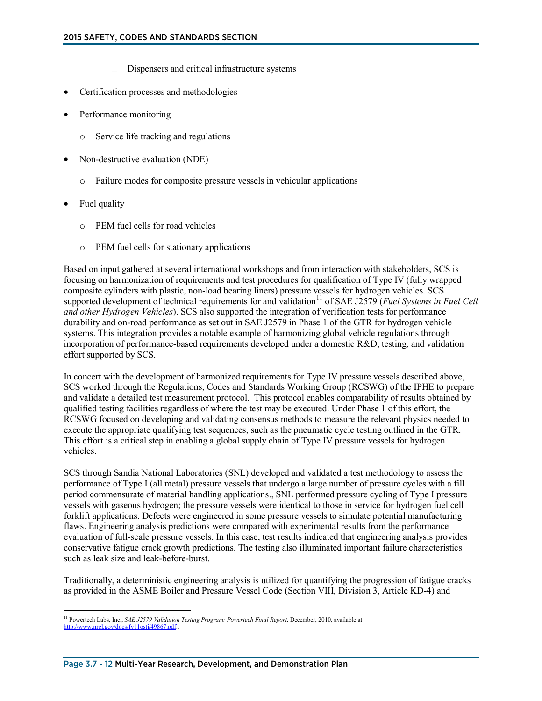- ̶ Dispensers and critical infrastructure systems
- Certification processes and methodologies
- Performance monitoring
	- o Service life tracking and regulations
- Non-destructive evaluation (NDE)
	- o Failure modes for composite pressure vessels in vehicular applications
- Fuel quality
	- o PEM fuel cells for road vehicles
	- o PEM fuel cells for stationary applications

Based on input gathered at several international workshops and from interaction with stakeholders, SCS is focusing on harmonization of requirements and test procedures for qualification of Type IV (fully wrapped composite cylinders with plastic, non-load bearing liners) pressure vessels for hydrogen vehicles. SCS supported development of technical requirements for and validation<sup>[11](#page-11-0)</sup> of SAE J2579 (*Fuel Systems in Fuel Cell*) *and other Hydrogen Vehicles*). SCS also supported the integration of verification tests for performance durability and on-road performance as set out in SAE J2579 in Phase 1 of the GTR for hydrogen vehicle systems. This integration provides a notable example of harmonizing global vehicle regulations through incorporation of performance-based requirements developed under a domestic R&D, testing, and validation effort supported by SCS.

In concert with the development of harmonized requirements for Type IV pressure vessels described above, SCS worked through the Regulations, Codes and Standards Working Group (RCSWG) of the IPHE to prepare and validate a detailed test measurement protocol. This protocol enables comparability of results obtained by qualified testing facilities regardless of where the test may be executed. Under Phase 1 of this effort, the RCSWG focused on developing and validating consensus methods to measure the relevant physics needed to execute the appropriate qualifying test sequences, such as the pneumatic cycle testing outlined in the GTR. This effort is a critical step in enabling a global supply chain of Type IV pressure vessels for hydrogen vehicles.

SCS through Sandia National Laboratories (SNL) developed and validated a test methodology to assess the performance of Type I (all metal) pressure vessels that undergo a large number of pressure cycles with a fill period commensurate of material handling applications., SNL performed pressure cycling of Type I pressure vessels with gaseous hydrogen; the pressure vessels were identical to those in service for hydrogen fuel cell forklift applications. Defects were engineered in some pressure vessels to simulate potential manufacturing flaws. Engineering analysis predictions were compared with experimental results from the performance evaluation of full-scale pressure vessels. In this case, test results indicated that engineering analysis provides conservative fatigue crack growth predictions. The testing also illuminated important failure characteristics such as leak size and leak-before-burst.

Traditionally, a deterministic engineering analysis is utilized for quantifying the progression of fatigue cracks as provided in the ASME Boiler and Pressure Vessel Code (Section VIII, Division 3, Article KD-4) and

<span id="page-11-0"></span><sup>&</sup>lt;sup>11</sup> Powertech Labs, Inc., *SAE J2579 Validation Testing Program: Powertech Final Report*, December, 2010, available at [http://www.nrel.gov/docs/fy11osti/49867.pdf..](http://www.nrel.gov/docs/fy11osti/49867.pdf)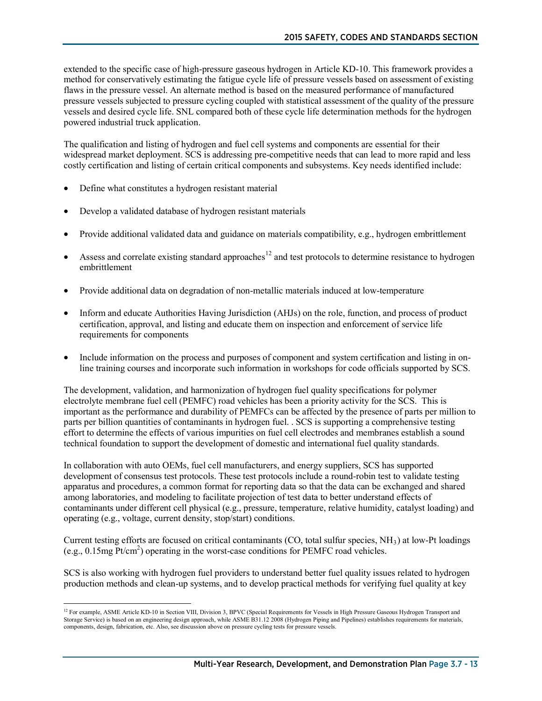extended to the specific case of high-pressure gaseous hydrogen in Article KD-10. This framework provides a method for conservatively estimating the fatigue cycle life of pressure vessels based on assessment of existing flaws in the pressure vessel. An alternate method is based on the measured performance of manufactured pressure vessels subjected to pressure cycling coupled with statistical assessment of the quality of the pressure vessels and desired cycle life. SNL compared both of these cycle life determination methods for the hydrogen powered industrial truck application.

The qualification and listing of hydrogen and fuel cell systems and components are essential for their widespread market deployment. SCS is addressing pre-competitive needs that can lead to more rapid and less costly certification and listing of certain critical components and subsystems. Key needs identified include:

- Define what constitutes a hydrogen resistant material
- Develop a validated database of hydrogen resistant materials
- Provide additional validated data and guidance on materials compatibility, e.g., hydrogen embrittlement
- Assess and correlate existing standard approaches<sup>[12](#page-12-0)</sup> and test protocols to determine resistance to hydrogen embrittlement
- Provide additional data on degradation of non-metallic materials induced at low-temperature
- Inform and educate Authorities Having Jurisdiction (AHJs) on the role, function, and process of product certification, approval, and listing and educate them on inspection and enforcement of service life requirements for components
- Include information on the process and purposes of component and system certification and listing in online training courses and incorporate such information in workshops for code officials supported by SCS.

The development, validation, and harmonization of hydrogen fuel quality specifications for polymer electrolyte membrane fuel cell (PEMFC) road vehicles has been a priority activity for the SCS. This is important as the performance and durability of PEMFCs can be affected by the presence of parts per million to parts per billion quantities of contaminants in hydrogen fuel. . SCS is supporting a comprehensive testing effort to determine the effects of various impurities on fuel cell electrodes and membranes establish a sound technical foundation to support the development of domestic and international fuel quality standards.

In collaboration with auto OEMs, fuel cell manufacturers, and energy suppliers, SCS has supported development of consensus test protocols. These test protocols include a round-robin test to validate testing apparatus and procedures, a common format for reporting data so that the data can be exchanged and shared among laboratories, and modeling to facilitate projection of test data to better understand effects of contaminants under different cell physical (e.g., pressure, temperature, relative humidity, catalyst loading) and operating (e.g., voltage, current density, stop/start) conditions.

Current testing efforts are focused on critical contaminants (CO, total sulfur species,  $NH<sub>3</sub>$ ) at low-Pt loadings (e.g.,  $0.15$ mg Pt/cm<sup>2</sup>) operating in the worst-case conditions for PEMFC road vehicles.

SCS is also working with hydrogen fuel providers to understand better fuel quality issues related to hydrogen production methods and clean-up systems, and to develop practical methods for verifying fuel quality at key

<span id="page-12-0"></span><sup>&</sup>lt;sup>12</sup> For example, ASME Article KD-10 in Section VIII, Division 3, BPVC (Special Requirements for Vessels in High Pressure Gaseous Hydrogen Transport and Storage Service) is based on an engineering design approach, while ASME B31.12 2008 (Hydrogen Piping and Pipelines) establishes requirements for materials, components, design, fabrication, etc. Also, see discussion above on pressure cycling tests for pressure vessels.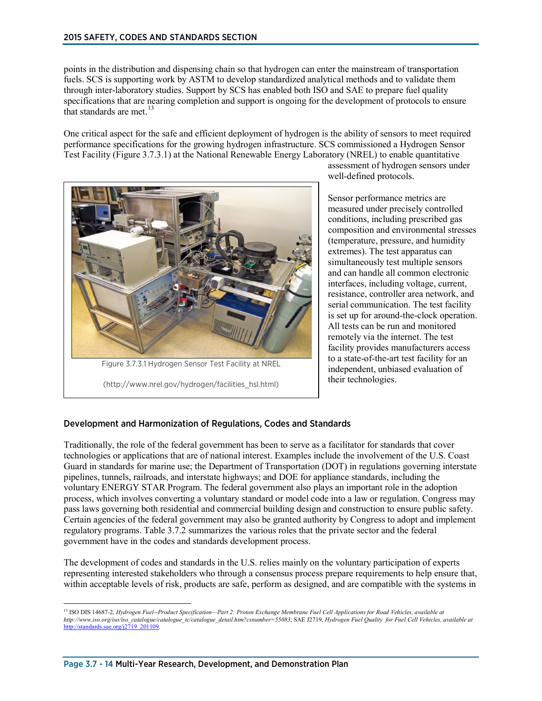points in the distribution and dispensing chain so that hydrogen can enter the mainstream of transportation fuels. SCS is supporting work by ASTM to develop standardized analytical methods and to validate them through inter-laboratory studies. Support by SCS has enabled both ISO and SAE to prepare fuel quality specifications that are nearing completion and support is ongoing for the development of protocols to ensure that standards are met.<sup>[13](#page-13-0)</sup>

One critical aspect for the safe and efficient deployment of hydrogen is the ability of sensors to meet required performance specifications for the growing hydrogen infrastructure. SCS commissioned a Hydrogen Sensor Test Facility (Figure 3.7.3.1) at the National Renewable Energy Laboratory (NREL) to enable quantitative



assessment of hydrogen sensors under well-defined protocols.

Sensor performance metrics are measured under precisely controlled conditions, including prescribed gas composition and environmental stresses (temperature, pressure, and humidity extremes). The test apparatus can simultaneously test multiple sensors and can handle all common electronic interfaces, including voltage, current, resistance, controller area network, and serial communication. The test facility is set up for around-the-clock operation. All tests can be run and monitored remotely via the internet. The test facility provides manufacturers access to a state-of-the-art test facility for an independent, unbiased evaluation of their technologies.

#### Development and Harmonization of Regulations, Codes and Standards

Traditionally, the role of the federal government has been to serve as a facilitator for standards that cover technologies or applications that are of national interest. Examples include the involvement of the U.S. Coast Guard in standards for marine use; the Department of Transportation (DOT) in regulations governing interstate pipelines, tunnels, railroads, and interstate highways; and DOE for appliance standards, including the voluntary ENERGY STAR Program. The federal government also plays an important role in the adoption process, which involves converting a voluntary standard or model code into a law or regulation. Congress may pass laws governing both residential and commercial building design and construction to ensure public safety. Certain agencies of the federal government may also be granted authority by Congress to adopt and implement regulatory programs. Table 3.7.2 summarizes the various roles that the private sector and the federal government have in the codes and standards development process.

The development of codes and standards in the U.S. relies mainly on the voluntary participation of experts representing interested stakeholders who through a consensus process prepare requirements to help ensure that, within acceptable levels of risk, products are safe, perform as designed, and are compatible with the systems in

<span id="page-13-0"></span> <sup>13</sup> ISO DIS 14687-2, *Hydrogen Fuel--Product Specification—Part 2: Proton Exchange Membrane Fuel Cell Applications for Road Vehicles, available at http://www.iso.org/iso/iso\_catalogue/catalogue\_tc/catalogue\_detail.htm?csnumber=55083*; SAE J2719, *Hydrogen Fuel Quality for Fuel Cell Vehicles, available at*  ://standards.sae.org/j2719\_201109.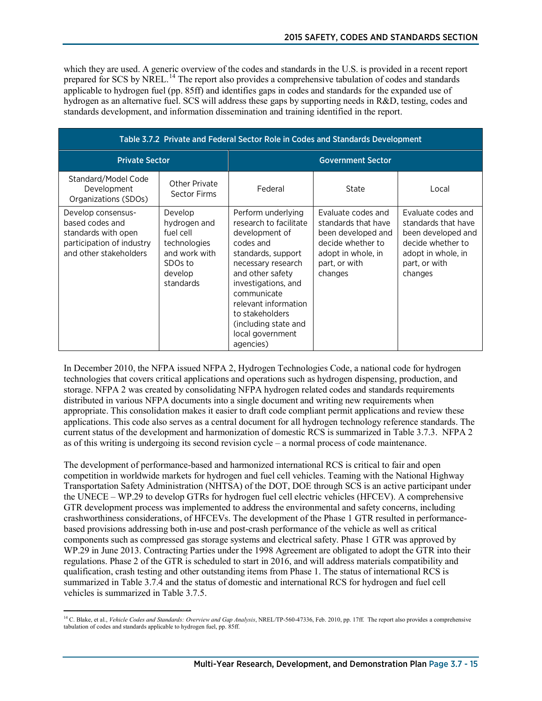which they are used. A generic overview of the codes and standards in the U.S. is provided in a recent report prepared for SCS by NREL.<sup>[14](#page-14-0)</sup> The report also provides a comprehensive tabulation of codes and standards applicable to hydrogen fuel (pp. 85ff) and identifies gaps in codes and standards for the expanded use of hydrogen as an alternative fuel. SCS will address these gaps by supporting needs in R&D, testing, codes and standards development, and information dissemination and training identified in the report.

| Table 3.7.2 Private and Federal Sector Role in Codes and Standards Development                                      |                                                                                                                      |                                                                                                                                                                                                                                                                                       |                                                                                                                                        |                                                                                                                                        |
|---------------------------------------------------------------------------------------------------------------------|----------------------------------------------------------------------------------------------------------------------|---------------------------------------------------------------------------------------------------------------------------------------------------------------------------------------------------------------------------------------------------------------------------------------|----------------------------------------------------------------------------------------------------------------------------------------|----------------------------------------------------------------------------------------------------------------------------------------|
| <b>Private Sector</b>                                                                                               |                                                                                                                      |                                                                                                                                                                                                                                                                                       | <b>Government Sector</b>                                                                                                               |                                                                                                                                        |
| Standard/Model Code<br>Development<br>Organizations (SDOs)                                                          | Other Private<br>Sector Firms                                                                                        | Federal                                                                                                                                                                                                                                                                               | State                                                                                                                                  | Local                                                                                                                                  |
| Develop consensus-<br>based codes and<br>standards with open<br>participation of industry<br>and other stakeholders | Develop<br>hydrogen and<br>fuel cell<br>technologies<br>and work with<br>SDO <sub>s</sub> to<br>develop<br>standards | Perform underlying<br>research to facilitate<br>development of<br>codes and<br>standards, support<br>necessary research<br>and other safety<br>investigations, and<br>communicate<br>relevant information<br>to stakeholders<br>(including state and<br>local government<br>agencies) | Evaluate codes and<br>standards that have<br>been developed and<br>decide whether to<br>adopt in whole, in<br>part, or with<br>changes | Evaluate codes and<br>standards that have<br>been developed and<br>decide whether to<br>adopt in whole, in<br>part, or with<br>changes |

In December 2010, the NFPA issued NFPA 2, Hydrogen Technologies Code, a national code for hydrogen technologies that covers critical applications and operations such as hydrogen dispensing, production, and storage. NFPA 2 was created by consolidating NFPA hydrogen related codes and standards requirements distributed in various NFPA documents into a single document and writing new requirements when appropriate. This consolidation makes it easier to draft code compliant permit applications and review these applications. This code also serves as a central document for all hydrogen technology reference standards. The current status of the development and harmonization of domestic RCS is summarized in Table 3.7.3. NFPA 2 as of this writing is undergoing its second revision cycle – a normal process of code maintenance.

The development of performance-based and harmonized international RCS is critical to fair and open competition in worldwide markets for hydrogen and fuel cell vehicles. Teaming with the National Highway Transportation Safety Administration (NHTSA) of the DOT, DOE through SCS is an active participant under the UNECE – WP.29 to develop GTRs for hydrogen fuel cell electric vehicles (HFCEV). A comprehensive GTR development process was implemented to address the environmental and safety concerns, including crashworthiness considerations, of HFCEVs. The development of the Phase 1 GTR resulted in performancebased provisions addressing both in-use and post-crash performance of the vehicle as well as critical components such as compressed gas storage systems and electrical safety. Phase 1 GTR was approved by WP.29 in June 2013. Contracting Parties under the 1998 Agreement are obligated to adopt the GTR into their regulations. Phase 2 of the GTR is scheduled to start in 2016, and will address materials compatibility and qualification, crash testing and other outstanding items from Phase 1. The status of international RCS is summarized in Table 3.7.4 and the status of domestic and international RCS for hydrogen and fuel cell vehicles is summarized in Table 3.7.5.

<span id="page-14-0"></span> $\overline{a}$ <sup>14</sup> C. Blake, et al., *Vehicle Codes and Standards: Overview and Gap Analysis*, NREL/TP-560-47336, Feb. 2010, pp. 17ff. The report also provides a comprehensive tabulation of codes and standards applicable to hydrogen fuel, pp. 85ff.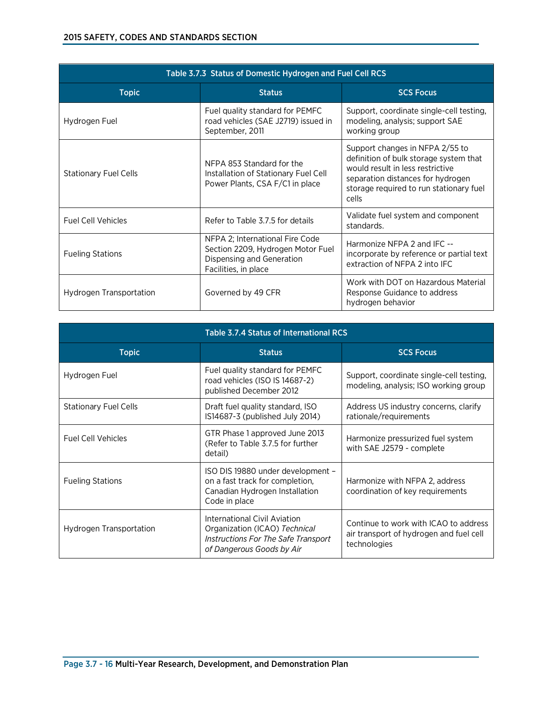| Table 3.7.3 Status of Domestic Hydrogen and Fuel Cell RCS |                                                                                                                           |                                                                                                                                                                                                        |
|-----------------------------------------------------------|---------------------------------------------------------------------------------------------------------------------------|--------------------------------------------------------------------------------------------------------------------------------------------------------------------------------------------------------|
| <b>Topic</b>                                              | <b>Status</b>                                                                                                             | <b>SCS Focus</b>                                                                                                                                                                                       |
| Hydrogen Fuel                                             | Fuel quality standard for PEMFC<br>road vehicles (SAE J2719) issued in<br>September, 2011                                 | Support, coordinate single-cell testing,<br>modeling, analysis; support SAE<br>working group                                                                                                           |
| <b>Stationary Fuel Cells</b>                              | NFPA 853 Standard for the<br>Installation of Stationary Fuel Cell<br>Power Plants, CSA F/C1 in place                      | Support changes in NFPA 2/55 to<br>definition of bulk storage system that<br>would result in less restrictive<br>separation distances for hydrogen<br>storage required to run stationary fuel<br>cells |
| <b>Fuel Cell Vehicles</b>                                 | Refer to Table 3.7.5 for details                                                                                          | Validate fuel system and component<br>standards.                                                                                                                                                       |
| <b>Fueling Stations</b>                                   | NFPA 2; International Fire Code<br>Section 2209, Hydrogen Motor Fuel<br>Dispensing and Generation<br>Facilities, in place | Harmonize NFPA 2 and IFC --<br>incorporate by reference or partial text<br>extraction of NFPA 2 into IFC                                                                                               |
| Hydrogen Transportation                                   | Governed by 49 CFR                                                                                                        | Work with DOT on Hazardous Material<br>Response Guidance to address<br>hydrogen behavior                                                                                                               |

| <b>Table 3.7.4 Status of International RCS</b> |                                                                                                                                          |                                                                                                  |
|------------------------------------------------|------------------------------------------------------------------------------------------------------------------------------------------|--------------------------------------------------------------------------------------------------|
| <b>Topic</b>                                   | <b>Status</b>                                                                                                                            | <b>SCS Focus</b>                                                                                 |
| Hydrogen Fuel                                  | Fuel quality standard for PEMFC<br>road vehicles (ISO IS 14687-2)<br>published December 2012                                             | Support, coordinate single-cell testing,<br>modeling, analysis; ISO working group                |
| <b>Stationary Fuel Cells</b>                   | Draft fuel quality standard, ISO<br>IS14687-3 (published July 2014)                                                                      | Address US industry concerns, clarify<br>rationale/requirements                                  |
| <b>Fuel Cell Vehicles</b>                      | GTR Phase 1 approved June 2013<br>(Refer to Table 3.7.5 for further<br>detail)                                                           | Harmonize pressurized fuel system<br>with SAE J2579 - complete                                   |
| <b>Fueling Stations</b>                        | ISO DIS 19880 under development -<br>on a fast track for completion.<br>Canadian Hydrogen Installation<br>Code in place                  | Harmonize with NFPA 2, address<br>coordination of key requirements                               |
| Hydrogen Transportation                        | <b>International Civil Aviation</b><br>Organization (ICAO) Technical<br>Instructions For The Safe Transport<br>of Dangerous Goods by Air | Continue to work with ICAO to address<br>air transport of hydrogen and fuel cell<br>technologies |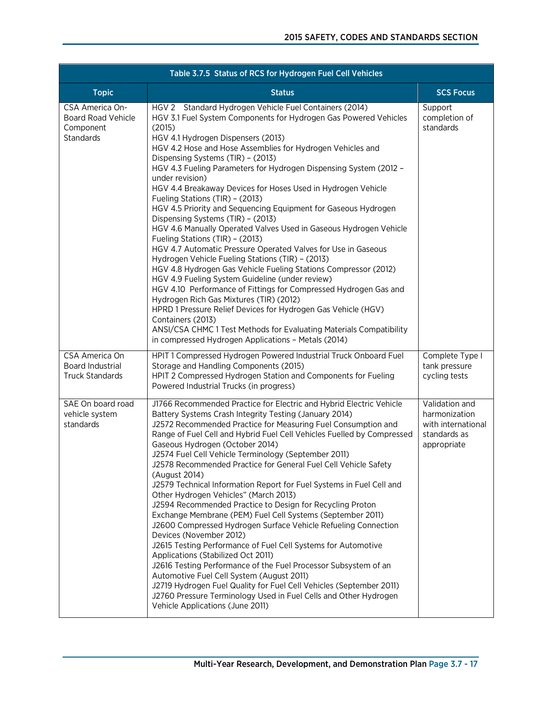| Table 3.7.5 Status of RCS for Hydrogen Fuel Cell Vehicles              |                                                                                                                                                                                                                                                                                                                                                                                                                                                                                                                                                                                                                                                                                                                                                                                                                                                                                                                                                                                                                                                                                                                                                                                                                                                                       |                                                                                      |
|------------------------------------------------------------------------|-----------------------------------------------------------------------------------------------------------------------------------------------------------------------------------------------------------------------------------------------------------------------------------------------------------------------------------------------------------------------------------------------------------------------------------------------------------------------------------------------------------------------------------------------------------------------------------------------------------------------------------------------------------------------------------------------------------------------------------------------------------------------------------------------------------------------------------------------------------------------------------------------------------------------------------------------------------------------------------------------------------------------------------------------------------------------------------------------------------------------------------------------------------------------------------------------------------------------------------------------------------------------|--------------------------------------------------------------------------------------|
| <b>Topic</b>                                                           | <b>Status</b>                                                                                                                                                                                                                                                                                                                                                                                                                                                                                                                                                                                                                                                                                                                                                                                                                                                                                                                                                                                                                                                                                                                                                                                                                                                         | <b>SCS Focus</b>                                                                     |
| CSA America On-<br><b>Board Road Vehicle</b><br>Component<br>Standards | HGV 2 Standard Hydrogen Vehicle Fuel Containers (2014)<br>HGV 3.1 Fuel System Components for Hydrogen Gas Powered Vehicles<br>(2015)<br>HGV 4.1 Hydrogen Dispensers (2013)<br>HGV 4.2 Hose and Hose Assemblies for Hydrogen Vehicles and<br>Dispensing Systems (TIR) - (2013)<br>HGV 4.3 Fueling Parameters for Hydrogen Dispensing System (2012 -<br>under revision)<br>HGV 4.4 Breakaway Devices for Hoses Used in Hydrogen Vehicle<br>Fueling Stations (TIR) - (2013)<br>HGV 4.5 Priority and Sequencing Equipment for Gaseous Hydrogen<br>Dispensing Systems (TIR) - (2013)<br>HGV 4.6 Manually Operated Valves Used in Gaseous Hydrogen Vehicle<br>Fueling Stations (TIR) - (2013)<br>HGV 4.7 Automatic Pressure Operated Valves for Use in Gaseous<br>Hydrogen Vehicle Fueling Stations (TIR) - (2013)<br>HGV 4.8 Hydrogen Gas Vehicle Fueling Stations Compressor (2012)<br>HGV 4.9 Fueling System Guideline (under review)<br>HGV 4.10 Performance of Fittings for Compressed Hydrogen Gas and<br>Hydrogen Rich Gas Mixtures (TIR) (2012)<br>HPRD 1 Pressure Relief Devices for Hydrogen Gas Vehicle (HGV)<br>Containers (2013)<br>ANSI/CSA CHMC 1 Test Methods for Evaluating Materials Compatibility<br>in compressed Hydrogen Applications - Metals (2014) | Support<br>completion of<br>standards                                                |
| CSA America On<br>Board Industrial<br><b>Truck Standards</b>           | HPIT 1 Compressed Hydrogen Powered Industrial Truck Onboard Fuel<br>Storage and Handling Components (2015)<br>HPIT 2 Compressed Hydrogen Station and Components for Fueling<br>Powered Industrial Trucks (in progress)                                                                                                                                                                                                                                                                                                                                                                                                                                                                                                                                                                                                                                                                                                                                                                                                                                                                                                                                                                                                                                                | Complete Type I<br>tank pressure<br>cycling tests                                    |
| SAE On board road<br>vehicle system<br>standards                       | J1766 Recommended Practice for Electric and Hybrid Electric Vehicle<br>Battery Systems Crash Integrity Testing (January 2014)<br>J2572 Recommended Practice for Measuring Fuel Consumption and<br>Range of Fuel Cell and Hybrid Fuel Cell Vehicles Fuelled by Compressed<br>Gaseous Hydrogen (October 2014)<br>J2574 Fuel Cell Vehicle Terminology (September 2011)<br>J2578 Recommended Practice for General Fuel Cell Vehicle Safety<br>(August 2014)<br>J2579 Technical Information Report for Fuel Systems in Fuel Cell and<br>Other Hydrogen Vehicles" (March 2013)<br>J2594 Recommended Practice to Design for Recycling Proton<br>Exchange Membrane (PEM) Fuel Cell Systems (September 2011)<br>J2600 Compressed Hydrogen Surface Vehicle Refueling Connection<br>Devices (November 2012)<br>J2615 Testing Performance of Fuel Cell Systems for Automotive<br>Applications (Stabilized Oct 2011)<br>J2616 Testing Performance of the Fuel Processor Subsystem of an<br>Automotive Fuel Cell System (August 2011)<br>J2719 Hydrogen Fuel Quality for Fuel Cell Vehicles (September 2011)<br>J2760 Pressure Terminology Used in Fuel Cells and Other Hydrogen<br>Vehicle Applications (June 2011)                                                                | Validation and<br>harmonization<br>with international<br>standards as<br>appropriate |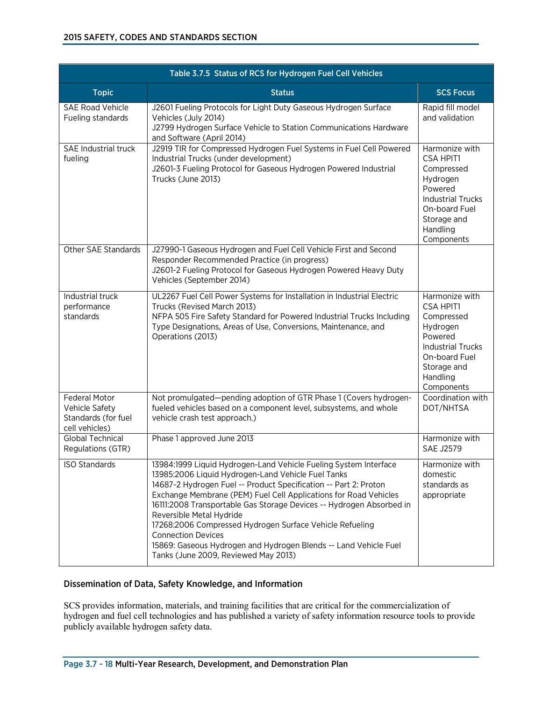| Table 3.7.5 Status of RCS for Hydrogen Fuel Cell Vehicles                       |                                                                                                                                                                                                                                                                                                                                                                                                                                                                                                                                                                         |                                                                                                                                                               |
|---------------------------------------------------------------------------------|-------------------------------------------------------------------------------------------------------------------------------------------------------------------------------------------------------------------------------------------------------------------------------------------------------------------------------------------------------------------------------------------------------------------------------------------------------------------------------------------------------------------------------------------------------------------------|---------------------------------------------------------------------------------------------------------------------------------------------------------------|
| <b>Topic</b>                                                                    | <b>Status</b>                                                                                                                                                                                                                                                                                                                                                                                                                                                                                                                                                           | <b>SCS Focus</b>                                                                                                                                              |
| <b>SAE Road Vehicle</b><br>Fueling standards                                    | J2601 Fueling Protocols for Light Duty Gaseous Hydrogen Surface<br>Vehicles (July 2014)<br>J2799 Hydrogen Surface Vehicle to Station Communications Hardware<br>and Software (April 2014)                                                                                                                                                                                                                                                                                                                                                                               | Rapid fill model<br>and validation                                                                                                                            |
| SAE Industrial truck<br>fueling                                                 | J2919 TIR for Compressed Hydrogen Fuel Systems in Fuel Cell Powered<br>Industrial Trucks (under development)<br>J2601-3 Fueling Protocol for Gaseous Hydrogen Powered Industrial<br>Trucks (June 2013)                                                                                                                                                                                                                                                                                                                                                                  | Harmonize with<br><b>CSA HPIT1</b><br>Compressed<br>Hydrogen<br>Powered<br><b>Industrial Trucks</b><br>On-board Fuel<br>Storage and<br>Handling<br>Components |
| Other SAE Standards                                                             | J27990-1 Gaseous Hydrogen and Fuel Cell Vehicle First and Second<br>Responder Recommended Practice (in progress)<br>J2601-2 Fueling Protocol for Gaseous Hydrogen Powered Heavy Duty<br>Vehicles (September 2014)                                                                                                                                                                                                                                                                                                                                                       |                                                                                                                                                               |
| Industrial truck<br>performance<br>standards                                    | UL2267 Fuel Cell Power Systems for Installation in Industrial Electric<br>Trucks (Revised March 2013)<br>NFPA 505 Fire Safety Standard for Powered Industrial Trucks Including<br>Type Designations, Areas of Use, Conversions, Maintenance, and<br>Operations (2013)                                                                                                                                                                                                                                                                                                   | Harmonize with<br><b>CSA HPIT1</b><br>Compressed<br>Hydrogen<br>Powered<br><b>Industrial Trucks</b><br>On-board Fuel<br>Storage and<br>Handling<br>Components |
| <b>Federal Motor</b><br>Vehicle Safety<br>Standards (for fuel<br>cell vehicles) | Not promulgated-pending adoption of GTR Phase 1 (Covers hydrogen-<br>fueled vehicles based on a component level, subsystems, and whole<br>vehicle crash test approach.)                                                                                                                                                                                                                                                                                                                                                                                                 | Coordination with<br>DOT/NHTSA                                                                                                                                |
| Global Technical<br>Regulations (GTR)                                           | Phase 1 approved June 2013                                                                                                                                                                                                                                                                                                                                                                                                                                                                                                                                              | Harmonize with<br><b>SAE J2579</b>                                                                                                                            |
| <b>ISO Standards</b>                                                            | 13984:1999 Liquid Hydrogen-Land Vehicle Fueling System Interface<br>13985:2006 Liquid Hydrogen-Land Vehicle Fuel Tanks<br>14687-2 Hydrogen Fuel -- Product Specification -- Part 2: Proton<br>Exchange Membrane (PEM) Fuel Cell Applications for Road Vehicles<br>16111:2008 Transportable Gas Storage Devices -- Hydrogen Absorbed in<br>Reversible Metal Hydride<br>17268:2006 Compressed Hydrogen Surface Vehicle Refueling<br><b>Connection Devices</b><br>15869: Gaseous Hydrogen and Hydrogen Blends -- Land Vehicle Fuel<br>Tanks (June 2009, Reviewed May 2013) | Harmonize with<br>domestic<br>standards as<br>appropriate                                                                                                     |

#### Dissemination of Data, Safety Knowledge, and Information

SCS provides information, materials, and training facilities that are critical for the commercialization of hydrogen and fuel cell technologies and has published a variety of safety information resource tools to provide publicly available hydrogen safety data.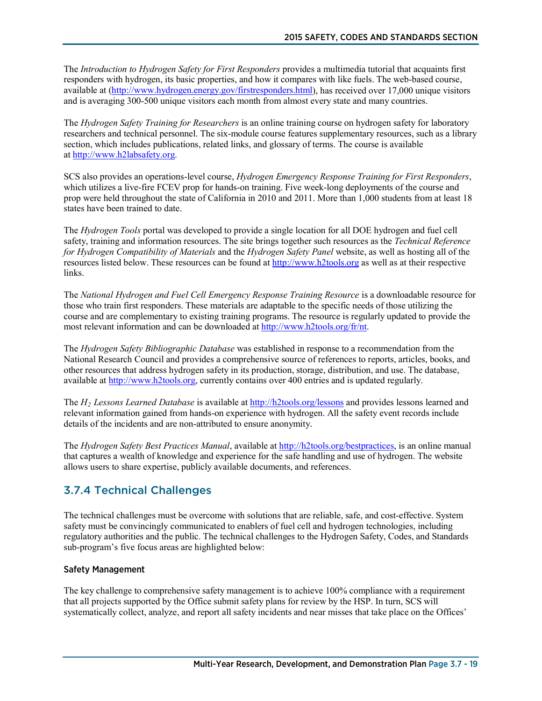The *Introduction to Hydrogen Safety for First Responders* provides a multimedia tutorial that acquaints first responders with hydrogen, its basic properties, and how it compares with like fuels. The web-based course, available at [\(http://www.hydrogen.energy.gov/firstresponders.html\)](http://www.hydrogen.energy.gov/firstresponders.html), has received over 17,000 unique visitors and is averaging 300-500 unique visitors each month from almost every state and many countries.

The *Hydrogen Safety Training for Researchers* is an online training course on hydrogen safety for laboratory researchers and technical personnel. The six-module course features supplementary resources, such as a library section, which includes publications, related links, and glossary of terms. The course is available at [http://www.h2labsafety.org.](http://www.h2labsafety.org/)

SCS also provides an operations-level course, *Hydrogen Emergency Response Training for First Responders*, which utilizes a live-fire FCEV prop for hands-on training. Five week-long deployments of the course and prop were held throughout the state of California in 2010 and 2011. More than 1,000 students from at least 18 states have been trained to date.

The *Hydrogen Tools* portal was developed to provide a single location for all DOE hydrogen and fuel cell safety, training and information resources. The site brings together such resources as the *Technical Reference for Hydrogen Compatibility of Materials* and the *Hydrogen Safety Panel* website, as well as hosting all of the resources listed below. These resources can be found a[t http://www.h2tools.org](http://www.h2tools.org/) as well as at their respective links.

The *National Hydrogen and Fuel Cell Emergency Response Training Resource* is a downloadable resource for those who train first responders. These materials are adaptable to the specific needs of those utilizing the course and are complementary to existing training programs. The resource is regularly updated to provide the most relevant information and can be downloaded at [http://www.h2tools.org/fr/nt.](http://www.h2tools.org/fr/nt) 

The *Hydrogen Safety Bibliographic Database* was established in response to a recommendation from the National Research Council and provides a comprehensive source of references to reports, articles, books, and other resources that address hydrogen safety in its production, storage, distribution, and use. The database, available a[t http://www.h2tools.org,](http://www.h2tools.org/) currently contains over 400 entries and is updated regularly.

The *H2 Lessons Learned Database* is available a[t http://h2tools.org/lessons](http://h2tools.org/lessons) and provides lessons learned and relevant information gained from hands-on experience with hydrogen. All the safety event records include details of the incidents and are non-attributed to ensure anonymity.

The *Hydrogen Safety Best Practices Manual*, available at [http://h2tools.org/bestpractices,](http://h2tools.org/bestpractices) is an online manual that captures a wealth of knowledge and experience for the safe handling and use of hydrogen. The website allows users to share expertise, publicly available documents, and references.

# 3.7.4 Technical Challenges

The technical challenges must be overcome with solutions that are reliable, safe, and cost-effective. System safety must be convincingly communicated to enablers of fuel cell and hydrogen technologies, including regulatory authorities and the public. The technical challenges to the Hydrogen Safety, Codes, and Standards sub-program's five focus areas are highlighted below:

#### Safety Management

The key challenge to comprehensive safety management is to achieve 100% compliance with a requirement that all projects supported by the Office submit safety plans for review by the HSP. In turn, SCS will systematically collect, analyze, and report all safety incidents and near misses that take place on the Offices'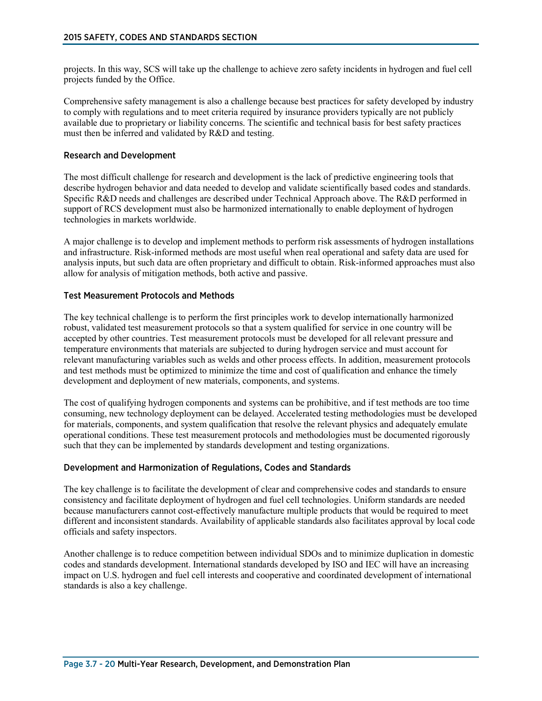projects. In this way, SCS will take up the challenge to achieve zero safety incidents in hydrogen and fuel cell projects funded by the Office.

Comprehensive safety management is also a challenge because best practices for safety developed by industry to comply with regulations and to meet criteria required by insurance providers typically are not publicly available due to proprietary or liability concerns. The scientific and technical basis for best safety practices must then be inferred and validated by R&D and testing.

#### Research and Development

The most difficult challenge for research and development is the lack of predictive engineering tools that describe hydrogen behavior and data needed to develop and validate scientifically based codes and standards. Specific R&D needs and challenges are described under Technical Approach above. The R&D performed in support of RCS development must also be harmonized internationally to enable deployment of hydrogen technologies in markets worldwide.

A major challenge is to develop and implement methods to perform risk assessments of hydrogen installations and infrastructure. Risk-informed methods are most useful when real operational and safety data are used for analysis inputs, but such data are often proprietary and difficult to obtain. Risk-informed approaches must also allow for analysis of mitigation methods, both active and passive.

#### Test Measurement Protocols and Methods

The key technical challenge is to perform the first principles work to develop internationally harmonized robust, validated test measurement protocols so that a system qualified for service in one country will be accepted by other countries. Test measurement protocols must be developed for all relevant pressure and temperature environments that materials are subjected to during hydrogen service and must account for relevant manufacturing variables such as welds and other process effects. In addition, measurement protocols and test methods must be optimized to minimize the time and cost of qualification and enhance the timely development and deployment of new materials, components, and systems.

The cost of qualifying hydrogen components and systems can be prohibitive, and if test methods are too time consuming, new technology deployment can be delayed. Accelerated testing methodologies must be developed for materials, components, and system qualification that resolve the relevant physics and adequately emulate operational conditions. These test measurement protocols and methodologies must be documented rigorously such that they can be implemented by standards development and testing organizations.

#### Development and Harmonization of Regulations, Codes and Standards

The key challenge is to facilitate the development of clear and comprehensive codes and standards to ensure consistency and facilitate deployment of hydrogen and fuel cell technologies. Uniform standards are needed because manufacturers cannot cost-effectively manufacture multiple products that would be required to meet different and inconsistent standards. Availability of applicable standards also facilitates approval by local code officials and safety inspectors.

Another challenge is to reduce competition between individual SDOs and to minimize duplication in domestic codes and standards development. International standards developed by ISO and IEC will have an increasing impact on U.S. hydrogen and fuel cell interests and cooperative and coordinated development of international standards is also a key challenge.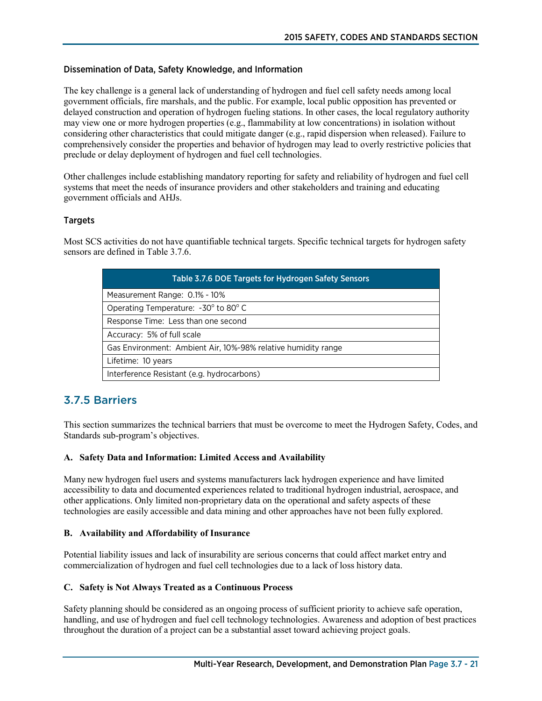#### Dissemination of Data, Safety Knowledge, and Information

The key challenge is a general lack of understanding of hydrogen and fuel cell safety needs among local government officials, fire marshals, and the public. For example, local public opposition has prevented or delayed construction and operation of hydrogen fueling stations. In other cases, the local regulatory authority may view one or more hydrogen properties (e.g., flammability at low concentrations) in isolation without considering other characteristics that could mitigate danger (e.g., rapid dispersion when released). Failure to comprehensively consider the properties and behavior of hydrogen may lead to overly restrictive policies that preclude or delay deployment of hydrogen and fuel cell technologies.

Other challenges include establishing mandatory reporting for safety and reliability of hydrogen and fuel cell systems that meet the needs of insurance providers and other stakeholders and training and educating government officials and AHJs.

#### Targets

Most SCS activities do not have quantifiable technical targets. Specific technical targets for hydrogen safety sensors are defined in Table 3.7.6.

| <b>Table 3.7.6 DOE Targets for Hydrogen Safety Sensors</b>    |
|---------------------------------------------------------------|
| Measurement Range: 0.1% - 10%                                 |
| Operating Temperature: -30° to 80° C                          |
| Response Time: Less than one second                           |
| Accuracy: 5% of full scale                                    |
| Gas Environment: Ambient Air, 10%-98% relative humidity range |
| Lifetime: 10 years                                            |
| Interference Resistant (e.g. hydrocarbons)                    |

## 3.7.5 Barriers

This section summarizes the technical barriers that must be overcome to meet the Hydrogen Safety, Codes, and Standards sub-program's objectives.

#### **A. Safety Data and Information: Limited Access and Availability**

Many new hydrogen fuel users and systems manufacturers lack hydrogen experience and have limited accessibility to data and documented experiences related to traditional hydrogen industrial, aerospace, and other applications. Only limited non-proprietary data on the operational and safety aspects of these technologies are easily accessible and data mining and other approaches have not been fully explored.

#### **B. Availability and Affordability of Insurance**

Potential liability issues and lack of insurability are serious concerns that could affect market entry and commercialization of hydrogen and fuel cell technologies due to a lack of loss history data.

#### **C. Safety is Not Always Treated as a Continuous Process**

Safety planning should be considered as an ongoing process of sufficient priority to achieve safe operation, handling, and use of hydrogen and fuel cell technology technologies. Awareness and adoption of best practices throughout the duration of a project can be a substantial asset toward achieving project goals.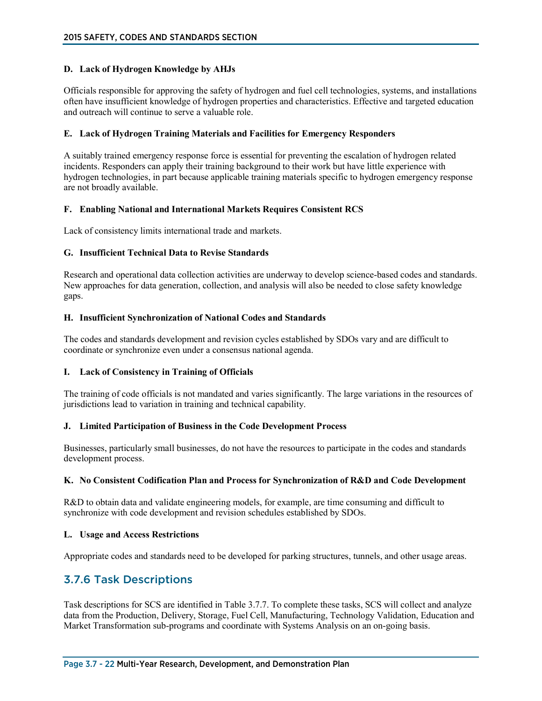#### **D. Lack of Hydrogen Knowledge by AHJs**

Officials responsible for approving the safety of hydrogen and fuel cell technologies, systems, and installations often have insufficient knowledge of hydrogen properties and characteristics. Effective and targeted education and outreach will continue to serve a valuable role.

#### **E. Lack of Hydrogen Training Materials and Facilities for Emergency Responders**

A suitably trained emergency response force is essential for preventing the escalation of hydrogen related incidents. Responders can apply their training background to their work but have little experience with hydrogen technologies, in part because applicable training materials specific to hydrogen emergency response are not broadly available.

#### **F. Enabling National and International Markets Requires Consistent RCS**

Lack of consistency limits international trade and markets.

#### **G. Insufficient Technical Data to Revise Standards**

Research and operational data collection activities are underway to develop science-based codes and standards. New approaches for data generation, collection, and analysis will also be needed to close safety knowledge gaps.

#### **H. Insufficient Synchronization of National Codes and Standards**

The codes and standards development and revision cycles established by SDOs vary and are difficult to coordinate or synchronize even under a consensus national agenda.

#### **I. Lack of Consistency in Training of Officials**

The training of code officials is not mandated and varies significantly. The large variations in the resources of jurisdictions lead to variation in training and technical capability.

#### **J. Limited Participation of Business in the Code Development Process**

Businesses, particularly small businesses, do not have the resources to participate in the codes and standards development process.

#### **K. No Consistent Codification Plan and Process for Synchronization of R&D and Code Development**

R&D to obtain data and validate engineering models, for example, are time consuming and difficult to synchronize with code development and revision schedules established by SDOs.

#### **L. Usage and Access Restrictions**

Appropriate codes and standards need to be developed for parking structures, tunnels, and other usage areas.

## 3.7.6 Task Descriptions

Task descriptions for SCS are identified in Table 3.7.7. To complete these tasks, SCS will collect and analyze data from the Production, Delivery, Storage, Fuel Cell, Manufacturing, Technology Validation, Education and Market Transformation sub-programs and coordinate with Systems Analysis on an on-going basis.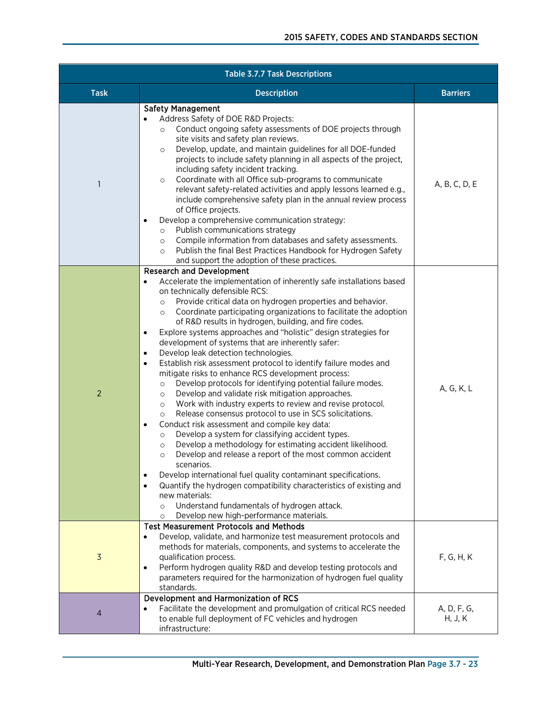| <b>Table 3.7.7 Task Descriptions</b> |                                                                                                                                                                                                                                                                                                                                                                                                                                                                                                                                                                                                                                                                                                                                                                                                                                                                                                                                                                                                                                                                                                                                                                                                                                                                                                                                                                                                                                                                                                                                                         |                        |  |
|--------------------------------------|---------------------------------------------------------------------------------------------------------------------------------------------------------------------------------------------------------------------------------------------------------------------------------------------------------------------------------------------------------------------------------------------------------------------------------------------------------------------------------------------------------------------------------------------------------------------------------------------------------------------------------------------------------------------------------------------------------------------------------------------------------------------------------------------------------------------------------------------------------------------------------------------------------------------------------------------------------------------------------------------------------------------------------------------------------------------------------------------------------------------------------------------------------------------------------------------------------------------------------------------------------------------------------------------------------------------------------------------------------------------------------------------------------------------------------------------------------------------------------------------------------------------------------------------------------|------------------------|--|
| <b>Task</b>                          | <b>Description</b>                                                                                                                                                                                                                                                                                                                                                                                                                                                                                                                                                                                                                                                                                                                                                                                                                                                                                                                                                                                                                                                                                                                                                                                                                                                                                                                                                                                                                                                                                                                                      | <b>Barriers</b>        |  |
| 1                                    | <b>Safety Management</b><br>Address Safety of DOE R&D Projects:<br>Conduct ongoing safety assessments of DOE projects through<br>$\circ$<br>site visits and safety plan reviews.<br>Develop, update, and maintain guidelines for all DOE-funded<br>$\circ$<br>projects to include safety planning in all aspects of the project,<br>including safety incident tracking.<br>Coordinate with all Office sub-programs to communicate<br>$\circ$<br>relevant safety-related activities and apply lessons learned e.g.,<br>include comprehensive safety plan in the annual review process<br>of Office projects.<br>Develop a comprehensive communication strategy:<br>Publish communications strategy<br>$\circ$<br>Compile information from databases and safety assessments.<br>$\circ$<br>Publish the final Best Practices Handbook for Hydrogen Safety<br>$\circ$<br>and support the adoption of these practices.                                                                                                                                                                                                                                                                                                                                                                                                                                                                                                                                                                                                                                       | A, B, C, D, E          |  |
| $\overline{2}$                       | <b>Research and Development</b><br>Accelerate the implementation of inherently safe installations based<br>on technically defensible RCS:<br>Provide critical data on hydrogen properties and behavior.<br>$\circ$<br>Coordinate participating organizations to facilitate the adoption<br>$\circ$<br>of R&D results in hydrogen, building, and fire codes.<br>Explore systems approaches and "holistic" design strategies for<br>$\bullet$<br>development of systems that are inherently safer:<br>Develop leak detection technologies.<br>$\bullet$<br>Establish risk assessment protocol to identify failure modes and<br>$\bullet$<br>mitigate risks to enhance RCS development process:<br>Develop protocols for identifying potential failure modes.<br>$\circ$<br>Develop and validate risk mitigation approaches.<br>$\circ$<br>Work with industry experts to review and revise protocol.<br>$\circ$<br>Release consensus protocol to use in SCS solicitations.<br>$\circ$<br>Conduct risk assessment and compile key data:<br>Develop a system for classifying accident types.<br>$\circ$<br>Develop a methodology for estimating accident likelihood.<br>$\circ$<br>Develop and release a report of the most common accident<br>$\circ$<br>scenarios.<br>Develop international fuel quality contaminant specifications.<br>Quantify the hydrogen compatibility characteristics of existing and<br>$\bullet$<br>new materials:<br>Understand fundamentals of hydrogen attack.<br>$\circ$<br>Develop new high-performance materials.<br>$\circ$ | A, G, K, L             |  |
| $\overline{3}$                       | <b>Test Measurement Protocols and Methods</b><br>Develop, validate, and harmonize test measurement protocols and<br>$\bullet$<br>methods for materials, components, and systems to accelerate the<br>qualification process.<br>Perform hydrogen quality R&D and develop testing protocols and<br>٠<br>parameters required for the harmonization of hydrogen fuel quality<br>standards.                                                                                                                                                                                                                                                                                                                                                                                                                                                                                                                                                                                                                                                                                                                                                                                                                                                                                                                                                                                                                                                                                                                                                                  | F, G, H, K             |  |
| 4                                    | Development and Harmonization of RCS<br>Facilitate the development and promulgation of critical RCS needed<br>to enable full deployment of FC vehicles and hydrogen<br>infrastructure:                                                                                                                                                                                                                                                                                                                                                                                                                                                                                                                                                                                                                                                                                                                                                                                                                                                                                                                                                                                                                                                                                                                                                                                                                                                                                                                                                                  | A, D, F, G,<br>H, J, K |  |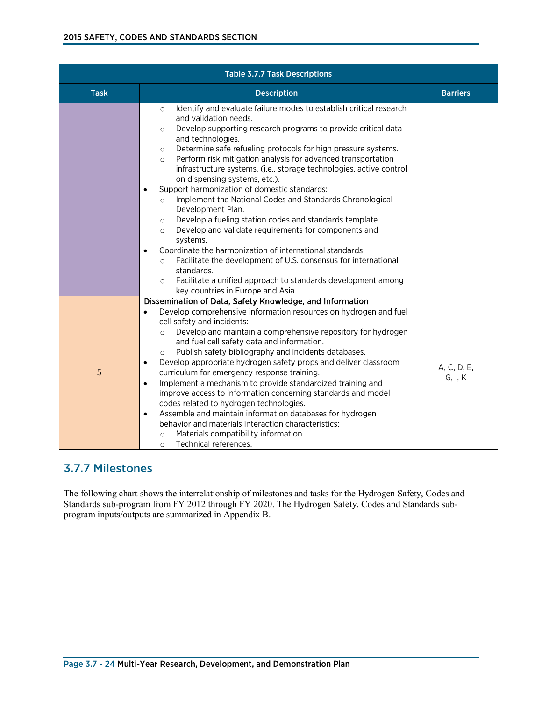| <b>Table 3.7.7 Task Descriptions</b> |                                                                                                                                                                                                                                                                                                                                                                                                                                                                                                                                                                                                                                                                                                                                                                                                                                                                                                                                                                                                                                                             |                        |  |
|--------------------------------------|-------------------------------------------------------------------------------------------------------------------------------------------------------------------------------------------------------------------------------------------------------------------------------------------------------------------------------------------------------------------------------------------------------------------------------------------------------------------------------------------------------------------------------------------------------------------------------------------------------------------------------------------------------------------------------------------------------------------------------------------------------------------------------------------------------------------------------------------------------------------------------------------------------------------------------------------------------------------------------------------------------------------------------------------------------------|------------------------|--|
| <b>Task</b>                          | <b>Description</b>                                                                                                                                                                                                                                                                                                                                                                                                                                                                                                                                                                                                                                                                                                                                                                                                                                                                                                                                                                                                                                          | <b>Barriers</b>        |  |
|                                      | Identify and evaluate failure modes to establish critical research<br>$\circ$<br>and validation needs.<br>Develop supporting research programs to provide critical data<br>$\circ$<br>and technologies.<br>Determine safe refueling protocols for high pressure systems.<br>$\circ$<br>Perform risk mitigation analysis for advanced transportation<br>$\circ$<br>infrastructure systems. (i.e., storage technologies, active control<br>on dispensing systems, etc.).<br>Support harmonization of domestic standards:<br>$\bullet$<br>Implement the National Codes and Standards Chronological<br>$\circ$<br>Development Plan.<br>Develop a fueling station codes and standards template.<br>$\circ$<br>Develop and validate requirements for components and<br>$\circ$<br>systems.<br>Coordinate the harmonization of international standards:<br>Facilitate the development of U.S. consensus for international<br>$\circ$<br>standards.<br>Facilitate a unified approach to standards development among<br>$\circ$<br>key countries in Europe and Asia. |                        |  |
| 5                                    | Dissemination of Data, Safety Knowledge, and Information<br>Develop comprehensive information resources on hydrogen and fuel<br>$\bullet$<br>cell safety and incidents:<br>Develop and maintain a comprehensive repository for hydrogen<br>$\circ$<br>and fuel cell safety data and information.<br>Publish safety bibliography and incidents databases.<br>$\circ$<br>Develop appropriate hydrogen safety props and deliver classroom<br>$\bullet$<br>curriculum for emergency response training.<br>Implement a mechanism to provide standardized training and<br>$\bullet$<br>improve access to information concerning standards and model<br>codes related to hydrogen technologies.<br>Assemble and maintain information databases for hydrogen<br>$\bullet$<br>behavior and materials interaction characteristics:<br>Materials compatibility information.<br>$\circ$<br>Technical references.<br>$\circ$                                                                                                                                             | A, C, D, E,<br>G, I, K |  |

# 3.7.7 Milestones

The following chart shows the interrelationship of milestones and tasks for the Hydrogen Safety, Codes and Standards sub-program from FY 2012 through FY 2020. The Hydrogen Safety, Codes and Standards subprogram inputs/outputs are summarized in Appendix B.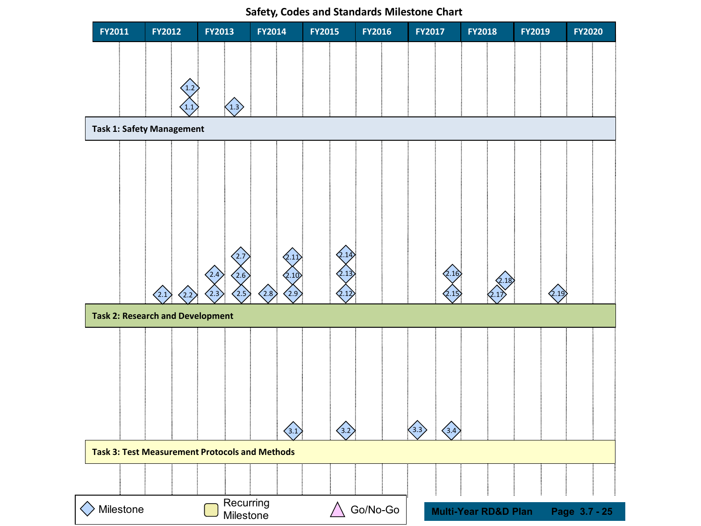

**Safety, Codes and Standards Milestone Chart**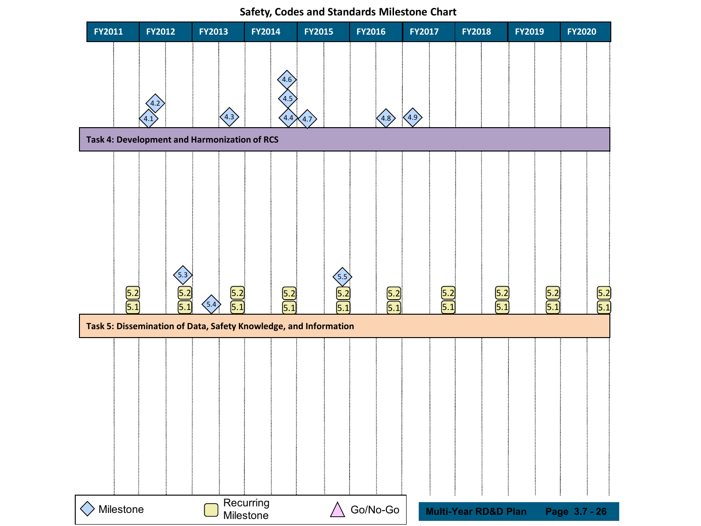

**Safety, Codes and Standards Milestone Chart**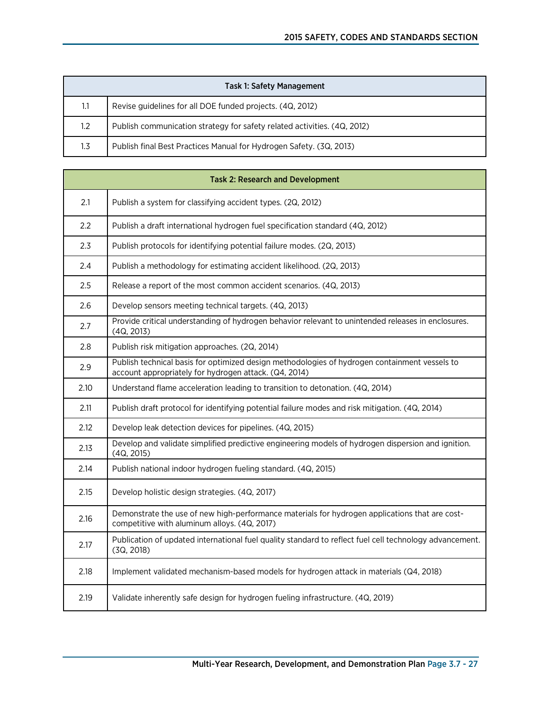|               | Task 1: Safety Management                                                |
|---------------|--------------------------------------------------------------------------|
| 1.1           | Revise guidelines for all DOE funded projects. (4Q, 2012)                |
| $1.2^{\circ}$ | Publish communication strategy for safety related activities. (4Q, 2012) |
| 1.3           | Publish final Best Practices Manual for Hydrogen Safety. (3Q, 2013)      |

|      | <b>Task 2: Research and Development</b>                                                                                                                |
|------|--------------------------------------------------------------------------------------------------------------------------------------------------------|
| 2.1  | Publish a system for classifying accident types. (2Q, 2012)                                                                                            |
| 2.2  | Publish a draft international hydrogen fuel specification standard (4Q, 2012)                                                                          |
| 2.3  | Publish protocols for identifying potential failure modes. (2Q, 2013)                                                                                  |
| 2.4  | Publish a methodology for estimating accident likelihood. (2Q, 2013)                                                                                   |
| 2.5  | Release a report of the most common accident scenarios. (4Q, 2013)                                                                                     |
| 2.6  | Develop sensors meeting technical targets. (4Q, 2013)                                                                                                  |
| 2.7  | Provide critical understanding of hydrogen behavior relevant to unintended releases in enclosures.<br>(4Q, 2013)                                       |
| 2.8  | Publish risk mitigation approaches. (2Q, 2014)                                                                                                         |
| 2.9  | Publish technical basis for optimized design methodologies of hydrogen containment vessels to<br>account appropriately for hydrogen attack. (Q4, 2014) |
| 2.10 | Understand flame acceleration leading to transition to detonation. (4Q, 2014)                                                                          |
| 2.11 | Publish draft protocol for identifying potential failure modes and risk mitigation. (4Q, 2014)                                                         |
| 2.12 | Develop leak detection devices for pipelines. (4Q, 2015)                                                                                               |
| 2.13 | Develop and validate simplified predictive engineering models of hydrogen dispersion and ignition.<br>(4Q, 2015)                                       |
| 2.14 | Publish national indoor hydrogen fueling standard. (4Q, 2015)                                                                                          |
| 2.15 | Develop holistic design strategies. (4Q, 2017)                                                                                                         |
| 2.16 | Demonstrate the use of new high-performance materials for hydrogen applications that are cost-<br>competitive with aluminum alloys. (4Q, 2017)         |
| 2.17 | Publication of updated international fuel quality standard to reflect fuel cell technology advancement.<br>(3Q, 2018)                                  |
| 2.18 | Implement validated mechanism-based models for hydrogen attack in materials (Q4, 2018)                                                                 |
| 2.19 | Validate inherently safe design for hydrogen fueling infrastructure. (4Q, 2019)                                                                        |